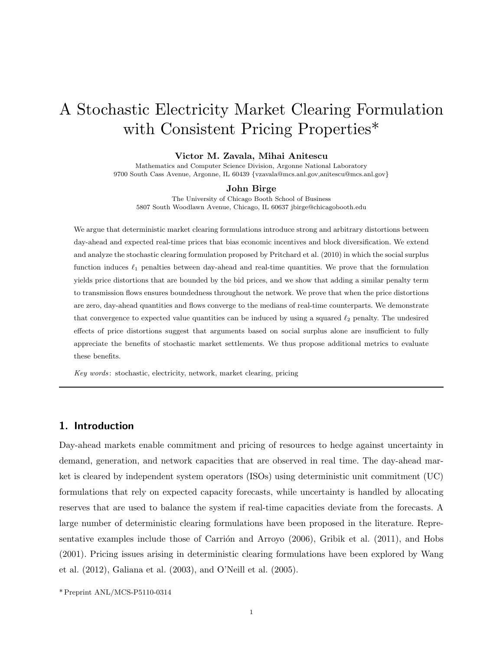# A Stochastic Electricity Market Clearing Formulation with Consistent Pricing Properties\*

#### Victor M. Zavala, Mihai Anitescu

Mathematics and Computer Science Division, Argonne National Laboratory 9700 South Cass Avenue, Argonne, IL 60439 {vzavala@mcs.anl.gov,anitescu@mcs.anl.gov}

#### John Birge

The University of Chicago Booth School of Business 5807 South Woodlawn Avenue, Chicago, IL 60637 jbirge@chicagobooth.edu

We argue that deterministic market clearing formulations introduce strong and arbitrary distortions between day-ahead and expected real-time prices that bias economic incentives and block diversification. We extend and analyze the stochastic clearing formulation proposed by Pritchard et al. (2010) in which the social surplus function induces  $\ell_1$  penalties between day-ahead and real-time quantities. We prove that the formulation yields price distortions that are bounded by the bid prices, and we show that adding a similar penalty term to transmission flows ensures boundedness throughout the network. We prove that when the price distortions are zero, day-ahead quantities and flows converge to the medians of real-time counterparts. We demonstrate that convergence to expected value quantities can be induced by using a squared  $\ell_2$  penalty. The undesired effects of price distortions suggest that arguments based on social surplus alone are insufficient to fully appreciate the benefits of stochastic market settlements. We thus propose additional metrics to evaluate these benefits.

Key words : stochastic, electricity, network, market clearing, pricing

# 1. Introduction

Day-ahead markets enable commitment and pricing of resources to hedge against uncertainty in demand, generation, and network capacities that are observed in real time. The day-ahead market is cleared by independent system operators (ISOs) using deterministic unit commitment (UC) formulations that rely on expected capacity forecasts, while uncertainty is handled by allocating reserves that are used to balance the system if real-time capacities deviate from the forecasts. A large number of deterministic clearing formulations have been proposed in the literature. Representative examples include those of Carrión and Arroyo  $(2006)$ , Gribik et al.  $(2011)$ , and Hobs (2001). Pricing issues arising in deterministic clearing formulations have been explored by Wang et al. (2012), Galiana et al. (2003), and O'Neill et al. (2005).

\* Preprint ANL/MCS-P5110-0314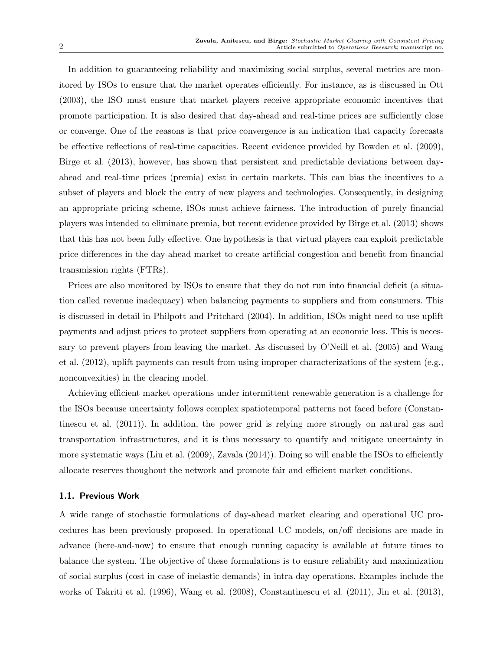In addition to guaranteeing reliability and maximizing social surplus, several metrics are monitored by ISOs to ensure that the market operates efficiently. For instance, as is discussed in Ott (2003), the ISO must ensure that market players receive appropriate economic incentives that promote participation. It is also desired that day-ahead and real-time prices are sufficiently close or converge. One of the reasons is that price convergence is an indication that capacity forecasts be effective reflections of real-time capacities. Recent evidence provided by Bowden et al. (2009), Birge et al. (2013), however, has shown that persistent and predictable deviations between dayahead and real-time prices (premia) exist in certain markets. This can bias the incentives to a subset of players and block the entry of new players and technologies. Consequently, in designing an appropriate pricing scheme, ISOs must achieve fairness. The introduction of purely financial players was intended to eliminate premia, but recent evidence provided by Birge et al. (2013) shows that this has not been fully effective. One hypothesis is that virtual players can exploit predictable price differences in the day-ahead market to create artificial congestion and benefit from financial transmission rights (FTRs).

Prices are also monitored by ISOs to ensure that they do not run into financial deficit (a situation called revenue inadequacy) when balancing payments to suppliers and from consumers. This is discussed in detail in Philpott and Pritchard (2004). In addition, ISOs might need to use uplift payments and adjust prices to protect suppliers from operating at an economic loss. This is necessary to prevent players from leaving the market. As discussed by O'Neill et al. (2005) and Wang et al. (2012), uplift payments can result from using improper characterizations of the system (e.g., nonconvexities) in the clearing model.

Achieving efficient market operations under intermittent renewable generation is a challenge for the ISOs because uncertainty follows complex spatiotemporal patterns not faced before (Constantinescu et al. (2011)). In addition, the power grid is relying more strongly on natural gas and transportation infrastructures, and it is thus necessary to quantify and mitigate uncertainty in more systematic ways (Liu et al. (2009), Zavala (2014)). Doing so will enable the ISOs to efficiently allocate reserves thoughout the network and promote fair and efficient market conditions.

## 1.1. Previous Work

A wide range of stochastic formulations of day-ahead market clearing and operational UC procedures has been previously proposed. In operational UC models, on/off decisions are made in advance (here-and-now) to ensure that enough running capacity is available at future times to balance the system. The objective of these formulations is to ensure reliability and maximization of social surplus (cost in case of inelastic demands) in intra-day operations. Examples include the works of Takriti et al. (1996), Wang et al. (2008), Constantinescu et al. (2011), Jin et al. (2013),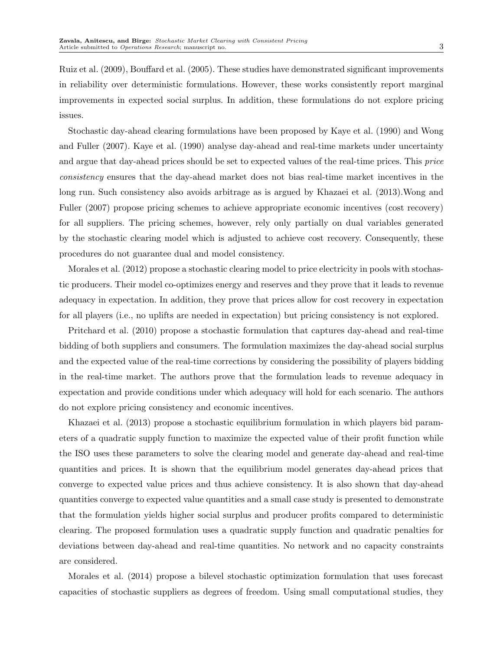Ruiz et al. (2009), Bouffard et al. (2005). These studies have demonstrated significant improvements in reliability over deterministic formulations. However, these works consistently report marginal improvements in expected social surplus. In addition, these formulations do not explore pricing issues.

Stochastic day-ahead clearing formulations have been proposed by Kaye et al. (1990) and Wong and Fuller (2007). Kaye et al. (1990) analyse day-ahead and real-time markets under uncertainty and argue that day-ahead prices should be set to expected values of the real-time prices. This price consistency ensures that the day-ahead market does not bias real-time market incentives in the long run. Such consistency also avoids arbitrage as is argued by Khazaei et al. (2013).Wong and Fuller (2007) propose pricing schemes to achieve appropriate economic incentives (cost recovery) for all suppliers. The pricing schemes, however, rely only partially on dual variables generated by the stochastic clearing model which is adjusted to achieve cost recovery. Consequently, these procedures do not guarantee dual and model consistency.

Morales et al. (2012) propose a stochastic clearing model to price electricity in pools with stochastic producers. Their model co-optimizes energy and reserves and they prove that it leads to revenue adequacy in expectation. In addition, they prove that prices allow for cost recovery in expectation for all players (i.e., no uplifts are needed in expectation) but pricing consistency is not explored.

Pritchard et al. (2010) propose a stochastic formulation that captures day-ahead and real-time bidding of both suppliers and consumers. The formulation maximizes the day-ahead social surplus and the expected value of the real-time corrections by considering the possibility of players bidding in the real-time market. The authors prove that the formulation leads to revenue adequacy in expectation and provide conditions under which adequacy will hold for each scenario. The authors do not explore pricing consistency and economic incentives.

Khazaei et al. (2013) propose a stochastic equilibrium formulation in which players bid parameters of a quadratic supply function to maximize the expected value of their profit function while the ISO uses these parameters to solve the clearing model and generate day-ahead and real-time quantities and prices. It is shown that the equilibrium model generates day-ahead prices that converge to expected value prices and thus achieve consistency. It is also shown that day-ahead quantities converge to expected value quantities and a small case study is presented to demonstrate that the formulation yields higher social surplus and producer profits compared to deterministic clearing. The proposed formulation uses a quadratic supply function and quadratic penalties for deviations between day-ahead and real-time quantities. No network and no capacity constraints are considered.

Morales et al. (2014) propose a bilevel stochastic optimization formulation that uses forecast capacities of stochastic suppliers as degrees of freedom. Using small computational studies, they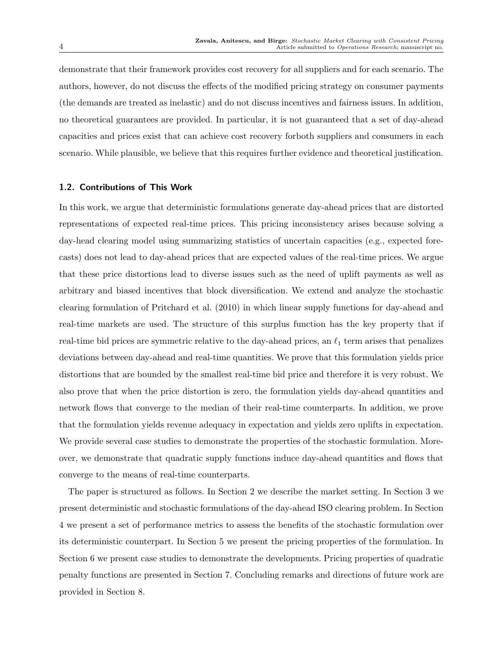demonstrate that their framework provides cost recovery for all suppliers and for each scenario. The authors, however, do not discuss the effects of the modified pricing strategy on consumer payments (the demands are treated as inelastic) and do not discuss incentives and fairness issues. In addition, no theoretical guarantees are provided. In particular, it is not guaranteed that a set of day-ahead capacities and prices exist that can achieve cost recovery forboth suppliers and consumers in each scenario. While plausible, we believe that this requires further evidence and theoretical justification.

## 1.2. Contributions of This Work

In this work, we argue that deterministic formulations generate day-ahead prices that are distorted representations of expected real-time prices. This pricing inconsistency arises because solving a day-head clearing model using summarizing statistics of uncertain capacities (e.g., expected forecasts) does not lead to day-ahead prices that are expected values of the real-time prices. We argue that these price distortions lead to diverse issues such as the need of uplift payments as well as arbitrary and biased incentives that block diversification. We extend and analyze the stochastic clearing formulation of Pritchard et al. (2010) in which linear supply functions for day-ahead and real-time markets are used. The structure of this surplus function has the key property that if real-time bid prices are symmetric relative to the day-ahead prices, an  $\ell_1$  term arises that penalizes deviations between day-ahead and real-time quantities. We prove that this formulation yields price distortions that are bounded by the smallest real-time bid price and therefore it is very robust. We also prove that when the price distortion is zero, the formulation yields day-ahead quantities and network flows that converge to the median of their real-time counterparts. In addition, we prove that the formulation yields revenue adequacy in expectation and yields zero uplifts in expectation. We provide several case studies to demonstrate the properties of the stochastic formulation. Moreover, we demonstrate that quadratic supply functions induce day-ahead quantities and flows that converge to the means of real-time counterparts.

The paper is structured as follows. In Section 2 we describe the market setting. In Section 3 we present deterministic and stochastic formulations of the day-ahead ISO clearing problem. In Section 4 we present a set of performance metrics to assess the benefits of the stochastic formulation over its deterministic counterpart. In Section 5 we present the pricing properties of the formulation. In Section 6 we present case studies to demonstrate the developments. Pricing properties of quadratic penalty functions are presented in Section 7. Concluding remarks and directions of future work are provided in Section 8.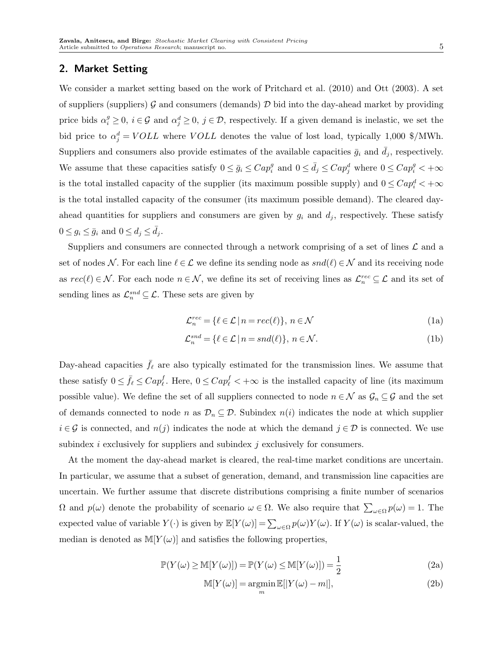# 2. Market Setting

We consider a market setting based on the work of Pritchard et al. (2010) and Ott (2003). A set of suppliers (suppliers)  $\mathcal G$  and consumers (demands)  $\mathcal D$  bid into the day-ahead market by providing price bids  $\alpha_i^g \geq 0$ ,  $i \in \mathcal{G}$  and  $\alpha_j^d \geq 0$ ,  $j \in \mathcal{D}$ , respectively. If a given demand is inelastic, we set the bid price to  $\alpha_j^d = VOLL$  where  $VOLL$  denotes the value of lost load, typically 1,000 \$/MWh. Suppliers and consumers also provide estimates of the available capacities  $\bar{g}_i$  and  $d_j$ , respectively. We assume that these capacities satisfy  $0 \le \bar{g}_i \le Cap_i^g$  and  $0 \le \bar{d}_j \le Cap_j^d$  where  $0 \le Cap_i^g < +\infty$ is the total installed capacity of the supplier (its maximum possible supply) and  $0 \leq Cap_i^d < +\infty$ is the total installed capacity of the consumer (its maximum possible demand). The cleared dayahead quantities for suppliers and consumers are given by  $g_i$  and  $d_j$ , respectively. These satisfy  $0 \le g_i \le \bar{g}_i$  and  $0 \le d_j \le d_j$ .

Suppliers and consumers are connected through a network comprising of a set of lines  $\mathcal L$  and a set of nodes N. For each line  $\ell \in \mathcal{L}$  we define its sending node as  $snd(\ell) \in \mathcal{N}$  and its receiving node as  $rec(\ell) \in \mathcal{N}$ . For each node  $n \in \mathcal{N}$ , we define its set of receiving lines as  $\mathcal{L}_n^{rec} \subseteq \mathcal{L}$  and its set of sending lines as  $\mathcal{L}_n^{snd} \subseteq \mathcal{L}$ . These sets are given by

$$
\mathcal{L}_n^{rec} = \{ \ell \in \mathcal{L} \mid n = rec(\ell) \}, n \in \mathcal{N}
$$
\n<sup>(1a)</sup>

$$
\mathcal{L}_n^{snd} = \{ \ell \in \mathcal{L} \mid n = snd(\ell) \}, \ n \in \mathcal{N}.
$$
\n(1b)

Day-ahead capacities  $\bar{f}_\ell$  are also typically estimated for the transmission lines. We assume that these satisfy  $0 \le \bar{f}_{\ell} \le Cap_{\ell}^f$ . Here,  $0 \le Cap_{\ell}^f < +\infty$  is the installed capacity of line (its maximum possible value). We define the set of all suppliers connected to node  $n \in \mathcal{N}$  as  $\mathcal{G}_n \subseteq \mathcal{G}$  and the set of demands connected to node n as  $\mathcal{D}_n \subseteq \mathcal{D}$ . Subindex  $n(i)$  indicates the node at which supplier  $i \in \mathcal{G}$  is connected, and  $n(j)$  indicates the node at which the demand  $j \in \mathcal{D}$  is connected. We use subindex  $i$  exclusively for suppliers and subindex  $j$  exclusively for consumers.

At the moment the day-ahead market is cleared, the real-time market conditions are uncertain. In particular, we assume that a subset of generation, demand, and transmission line capacities are uncertain. We further assume that discrete distributions comprising a finite number of scenarios  $\Omega$  and  $p(\omega)$  denote the probability of scenario  $\omega \in \Omega$ . We also require that  $\sum_{\omega \in \Omega} p(\omega) = 1$ . The expected value of variable  $Y(\cdot)$  is given by  $\mathbb{E}[Y(\omega)] = \sum_{\omega \in \Omega} p(\omega) Y(\omega)$ . If  $Y(\omega)$  is scalar-valued, the median is denoted as  $M[Y(\omega)]$  and satisfies the following properties,

$$
\mathbb{P}(Y(\omega) \ge \mathbb{M}[Y(\omega)]) = \mathbb{P}(Y(\omega) \le \mathbb{M}[Y(\omega)]) = \frac{1}{2}
$$
\n(2a)

$$
\mathbb{M}[Y(\omega)] = \underset{m}{\operatorname{argmin}} \mathbb{E}[|Y(\omega) - m|],\tag{2b}
$$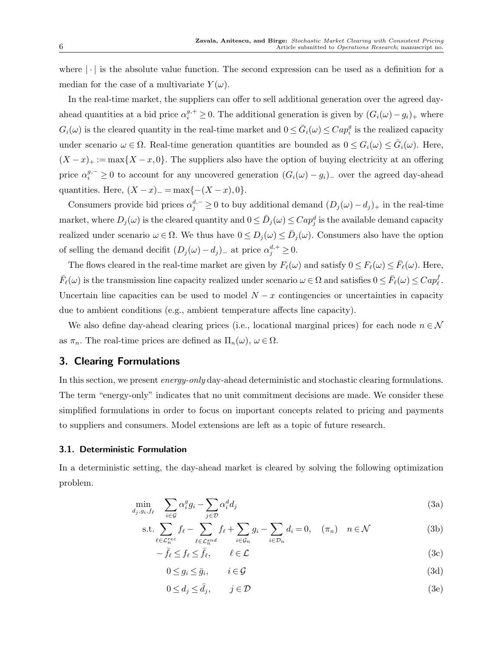where  $|\cdot|$  is the absolute value function. The second expression can be used as a definition for a median for the case of a multivariate  $Y(\omega)$ .

In the real-time market, the suppliers can offer to sell additional generation over the agreed dayahead quantities at a bid price  $\alpha_i^{g,+} \geq 0$ . The additional generation is given by  $(G_i(\omega)-g_i)_+$  where  $G_i(\omega)$  is the cleared quantity in the real-time market and  $0 \leq \bar{G}_i(\omega) \leq Cap_i^g$  is the realized capacity under scenario  $\omega \in \Omega$ . Real-time generation quantities are bounded as  $0 \leq G_i(\omega) \leq \overline{G}_i(\omega)$ . Here,  $(X-x)_+ := \max\{X-x,0\}.$  The suppliers also have the option of buying electricity at an offering price  $\alpha_i^{g,-} \geq 0$  to account for any uncovered generation  $(G_i(\omega) - g_i)$ <sub>-</sub> over the agreed day-ahead quantities. Here,  $(X - x)$ <sub>−</sub> = max{- $(X - x)$ , 0}.

Consumers provide bid prices  $\alpha_j^{d,-} \geq 0$  to buy additional demand  $(D_j(\omega) - d_j)_+$  in the real-time market, where  $D_j(\omega)$  is the cleared quantity and  $0 \le \bar{D}_j(\omega) \le Cap_j^d$  is the available demand capacity realized under scenario  $\omega \in \Omega$ . We thus have  $0 \le D_j(\omega) \le \bar{D}_j(\omega)$ . Consumers also have the option of selling the demand decifit  $(D_j(\omega) - d_j)$ <sub>-</sub> at price  $\alpha_j^{d,+} \geq 0$ .

The flows cleared in the real-time market are given by  $F_{\ell}(\omega)$  and satisfy  $0 \le F_{\ell}(\omega) \le \bar{F}_{\ell}(\omega)$ . Here,  $\bar{F}_\ell(\omega)$  is the transmission line capacity realized under scenario  $\omega \in \Omega$  and satisfies  $0 \leq \bar{F}_\ell(\omega) \leq Cap_\ell^f$ . Uncertain line capacities can be used to model  $N - x$  contingencies or uncertainties in capacity due to ambient conditions (e.g., ambient temperature affects line capacity).

We also define day-ahead clearing prices (i.e., locational marginal prices) for each node  $n \in \mathcal{N}$ as  $\pi_n$ . The real-time prices are defined as  $\Pi_n(\omega)$ ,  $\omega \in \Omega$ .

# 3. Clearing Formulations

In this section, we present *energy-only* day-ahead deterministic and stochastic clearing formulations. The term "energy-only" indicates that no unit commitment decisions are made. We consider these simplified formulations in order to focus on important concepts related to pricing and payments to suppliers and consumers. Model extensions are left as a topic of future research.

## 3.1. Deterministic Formulation

In a deterministic setting, the day-ahead market is cleared by solving the following optimization problem.

$$
\min_{d_j, g_i, f_\ell} \quad \sum_{i \in \mathcal{G}} \alpha_i^g g_i - \sum_{j \in \mathcal{D}} \alpha_i^d d_j \tag{3a}
$$

s.t. 
$$
\sum_{\ell \in \mathcal{L}_n^{rec}} f_{\ell} - \sum_{\ell \in \mathcal{L}_n^{snd}} f_{\ell} + \sum_{i \in \mathcal{G}_n} g_i - \sum_{i \in \mathcal{D}_n} d_i = 0, \quad (\pi_n) \quad n \in \mathcal{N}
$$
 (3b)

$$
-\bar{f}_{\ell} \le f_{\ell} \le \bar{f}_{\ell}, \qquad \ell \in \mathcal{L} \tag{3c}
$$

$$
0 \le g_i \le \bar{g}_i, \qquad i \in \mathcal{G} \tag{3d}
$$

$$
0 \le d_j \le \bar{d}_j, \qquad j \in \mathcal{D} \tag{3e}
$$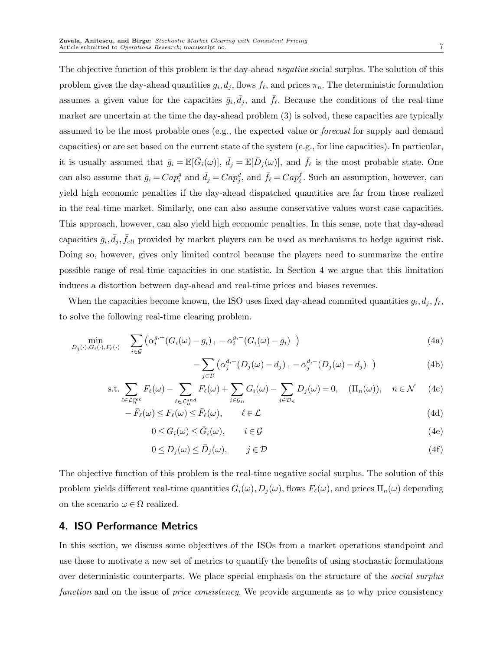The objective function of this problem is the day-ahead *negative* social surplus. The solution of this problem gives the day-ahead quantities  $g_i, d_j$ , flows  $f_\ell$ , and prices  $\pi_n$ . The deterministic formulation assumes a given value for the capacities  $\bar{g}_i, \bar{d}_j$ , and  $\bar{f}_\ell$ . Because the conditions of the real-time market are uncertain at the time the day-ahead problem (3) is solved, these capacities are typically assumed to be the most probable ones (e.g., the expected value or forecast for supply and demand capacities) or are set based on the current state of the system (e.g., for line capacities). In particular, it is usually assumed that  $\bar{g}_i = \mathbb{E}[\bar{G}_i(\omega)], \ \bar{d}_j = \mathbb{E}[\bar{D}_j(\omega)],$  and  $\bar{f}_\ell$  is the most probable state. One can also assume that  $\bar{g}_i = Cap_i^g$  and  $\bar{d}_j = Cap_j^d$ , and  $\bar{f}_\ell = Cap_\ell^f$ . Such an assumption, however, can yield high economic penalties if the day-ahead dispatched quantities are far from those realized in the real-time market. Similarly, one can also assume conservative values worst-case capacities. This approach, however, can also yield high economic penalties. In this sense, note that day-ahead capacities  $\bar{g}_i$ ,  $\bar{d}_j$ ,  $\bar{f}_{ell}$  provided by market players can be used as mechanisms to hedge against risk. Doing so, however, gives only limited control because the players need to summarize the entire possible range of real-time capacities in one statistic. In Section 4 we argue that this limitation induces a distortion between day-ahead and real-time prices and biases revenues.

When the capacities become known, the ISO uses fixed day-ahead commited quantities  $g_i, d_j, f_\ell$ , to solve the following real-time clearing problem.

$$
\min_{D_j(\cdot), G_i(\cdot), F_\ell(\cdot)} \quad \sum_{i \in \mathcal{G}} \left( \alpha_i^{g,+} (G_i(\omega) - g_i)_{+} - \alpha_i^{g,-} (G_i(\omega) - g_i)_{-} \right) \tag{4a}
$$

−

$$
\sum_{j \in \mathcal{D}} \left( \alpha_j^{d,+} (D_j(\omega) - d_j)_{+} - \alpha_j^{d,-} (D_j(\omega) - d_j)_{-} \right) \tag{4b}
$$

$$
\text{s.t.} \sum_{\ell \in \mathcal{L}_n^{rec}} F_{\ell}(\omega) - \sum_{\ell \in \mathcal{L}_n^{snd}} F_{\ell}(\omega) + \sum_{i \in \mathcal{G}_n} G_i(\omega) - \sum_{j \in \mathcal{D}_n} D_j(\omega) = 0, \quad (\Pi_n(\omega)), \quad n \in \mathcal{N} \tag{4c}
$$

$$
-\bar{F}_{\ell}(\omega) \leq F_{\ell}(\omega) \leq \bar{F}_{\ell}(\omega), \qquad \ell \in \mathcal{L}
$$
\n(4d)

$$
0 \le G_i(\omega) \le \bar{G}_i(\omega), \qquad i \in \mathcal{G}
$$
\n<sup>(4e)</sup>

$$
0 \le D_j(\omega) \le \bar{D}_j(\omega), \qquad j \in \mathcal{D}
$$
\n<sup>(4f)</sup>

The objective function of this problem is the real-time negative social surplus. The solution of this problem yields different real-time quantities  $G_i(\omega)$ ,  $D_j(\omega)$ , flows  $F_\ell(\omega)$ , and prices  $\Pi_n(\omega)$  depending on the scenario  $\omega \in \Omega$  realized.

# 4. ISO Performance Metrics

In this section, we discuss some objectives of the ISOs from a market operations standpoint and use these to motivate a new set of metrics to quantify the benefits of using stochastic formulations over deterministic counterparts. We place special emphasis on the structure of the *social surplus* function and on the issue of *price consistency*. We provide arguments as to why price consistency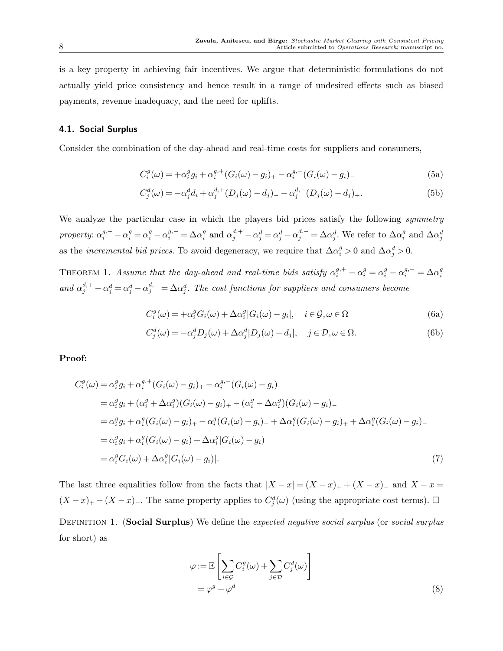is a key property in achieving fair incentives. We argue that deterministic formulations do not actually yield price consistency and hence result in a range of undesired effects such as biased payments, revenue inadequacy, and the need for uplifts.

## 4.1. Social Surplus

Consider the combination of the day-ahead and real-time costs for suppliers and consumers,

$$
C_i^g(\omega) = +\alpha_i^g g_i + \alpha_i^{g,+} (G_i(\omega) - g_i)_+ - \alpha_i^{g,-} (G_i(\omega) - g_i)_-\tag{5a}
$$

$$
C_j^d(\omega) = -\alpha_j^d d_i + \alpha_j^{d,+} (D_j(\omega) - d_j)_{-} - \alpha_j^{d,-} (D_j(\omega) - d_j)_{+}.
$$
\n(5b)

We analyze the particular case in which the players bid prices satisfy the following *symmetry* property:  $\alpha_i^{g,+} - \alpha_i^g = \alpha_i^g - \alpha_i^{g,-} = \Delta \alpha_i^g$  and  $\alpha_j^{d,+} - \alpha_j^d = \alpha_j^d - \alpha_j^{d,-} = \Delta \alpha_j^d$ . We refer to  $\Delta \alpha_i^g$  and  $\Delta \alpha_j^d$ as the *incremental bid prices*. To avoid degeneracy, we require that  $\Delta \alpha_i^g > 0$  and  $\Delta \alpha_j^d > 0$ .

THEOREM 1. Assume that the day-ahead and real-time bids satisfy  $\alpha_i^{g,+} - \alpha_i^g = \alpha_i^g - \alpha_i^{g,-} = \Delta \alpha_i^g$ and  $\alpha_j^{d,+} - \alpha_j^d = \alpha_j^d - \alpha_j^{d,-} = \Delta \alpha_j^d$ . The cost functions for suppliers and consumers become

$$
C_i^g(\omega) = +\alpha_i^g G_i(\omega) + \Delta \alpha_i^g |G_i(\omega) - g_i|, \quad i \in \mathcal{G}, \omega \in \Omega
$$
 (6a)

$$
C_j^d(\omega) = -\alpha_j^d D_j(\omega) + \Delta \alpha_j^d |D_j(\omega) - d_j|, \quad j \in \mathcal{D}, \omega \in \Omega.
$$
 (6b)

## Proof:

$$
C_i^g(\omega) = \alpha_i^g g_i + \alpha_i^{g,+} (G_i(\omega) - g_i)_+ - \alpha_i^{g,-} (G_i(\omega) - g_i)_-
$$
  
\n
$$
= \alpha_i^g g_i + (\alpha_i^g + \Delta \alpha_i^g) (G_i(\omega) - g_i)_+ - (\alpha_i^g - \Delta \alpha_i^g) (G_i(\omega) - g_i)_-
$$
  
\n
$$
= \alpha_i^g g_i + \alpha_i^g (G_i(\omega) - g_i)_+ - \alpha_i^g (G_i(\omega) - g_i)_- + \Delta \alpha_i^g (G_i(\omega) - g_i)_+ + \Delta \alpha_i^g (G_i(\omega) - g_i)_-
$$
  
\n
$$
= \alpha_i^g g_i + \alpha_i^g (G_i(\omega) - g_i) + \Delta \alpha_i^g |G_i(\omega) - g_i)|
$$
  
\n
$$
= \alpha_i^g G_i(\omega) + \Delta \alpha_i^g |G_i(\omega) - g_i|.
$$
\n(7)

The last three equalities follow from the facts that  $|X - x| = (X - x)_+ + (X - x)_-$  and  $X - x =$  $(X-x)_{+} - (X-x)_{-}$ . The same property applies to  $C_j^d(\omega)$  (using the appropriate cost terms).  $\Box$ DEFINITION 1. (Social Surplus) We define the expected negative social surplus (or social surplus for short) as

$$
\varphi := \mathbb{E}\left[\sum_{i \in \mathcal{G}} C_i^g(\omega) + \sum_{j \in \mathcal{D}} C_j^d(\omega)\right]
$$
  
=  $\varphi^g + \varphi^d$  (8)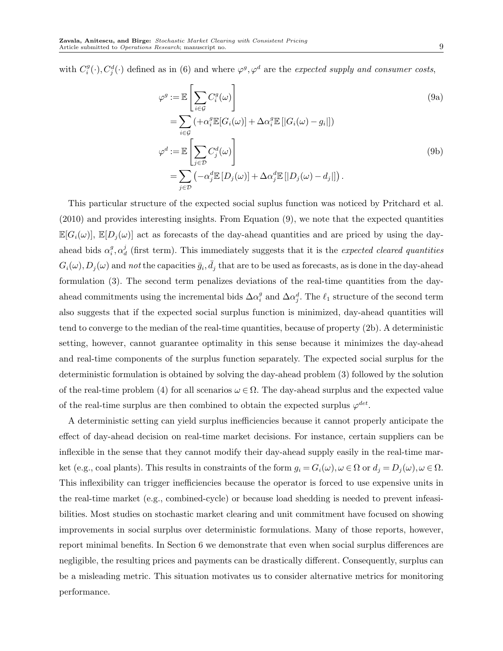with  $C_i^g(\cdot), C_j^d(\cdot)$  defined as in (6) and where  $\varphi^g, \varphi^d$  are the expected supply and consumer costs,

$$
\varphi^{g} := \mathbb{E}\left[\sum_{i \in \mathcal{G}} C_{i}^{g}(\omega)\right]
$$
\n
$$
= \sum_{i \in \mathcal{G}} \left(+\alpha_{i}^{g} \mathbb{E}[G_{i}(\omega)] + \Delta \alpha_{i}^{g} \mathbb{E}\left[|G_{i}(\omega) - g_{i}|\right]\right)
$$
\n
$$
\varphi^{d} := \mathbb{E}\left[\sum_{j \in \mathcal{D}} C_{j}^{d}(\omega)\right]
$$
\n
$$
= \sum_{j \in \mathcal{D}} \left(-\alpha_{j}^{d} \mathbb{E}\left[D_{j}(\omega)\right] + \Delta \alpha_{j}^{d} \mathbb{E}\left[|D_{j}(\omega) - d_{j}|\right]\right).
$$
\n(9b)

This particular structure of the expected social suplus function was noticed by Pritchard et al. (2010) and provides interesting insights. From Equation (9), we note that the expected quantities  $\mathbb{E}[G_i(\omega)], \mathbb{E}[D_i(\omega)]$  act as forecasts of the day-ahead quantities and are priced by using the dayahead bids  $\alpha_i^g$ ,  $\alpha_d^j$  (first term). This immediately suggests that it is the *expected cleared quantities*  $G_i(\omega), D_j(\omega)$  and not the capacities  $\bar{g}_i, \bar{d}_j$  that are to be used as forecasts, as is done in the day-ahead formulation (3). The second term penalizes deviations of the real-time quantities from the dayahead commitments using the incremental bids  $\Delta \alpha_i^g$  and  $\Delta \alpha_j^d$ . The  $\ell_1$  structure of the second term also suggests that if the expected social surplus function is minimized, day-ahead quantities will tend to converge to the median of the real-time quantities, because of property (2b). A deterministic setting, however, cannot guarantee optimality in this sense because it minimizes the day-ahead and real-time components of the surplus function separately. The expected social surplus for the deterministic formulation is obtained by solving the day-ahead problem (3) followed by the solution of the real-time problem (4) for all scenarios  $\omega \in \Omega$ . The day-ahead surplus and the expected value of the real-time surplus are then combined to obtain the expected surplus  $\varphi^{det}$ .

A deterministic setting can yield surplus inefficiencies because it cannot properly anticipate the effect of day-ahead decision on real-time market decisions. For instance, certain suppliers can be inflexible in the sense that they cannot modify their day-ahead supply easily in the real-time market (e.g., coal plants). This results in constraints of the form  $g_i = G_i(\omega)$ ,  $\omega \in \Omega$  or  $d_j = D_j(\omega)$ ,  $\omega \in \Omega$ . This inflexibility can trigger inefficiencies because the operator is forced to use expensive units in the real-time market (e.g., combined-cycle) or because load shedding is needed to prevent infeasibilities. Most studies on stochastic market clearing and unit commitment have focused on showing improvements in social surplus over deterministic formulations. Many of those reports, however, report minimal benefits. In Section 6 we demonstrate that even when social surplus differences are negligible, the resulting prices and payments can be drastically different. Consequently, surplus can be a misleading metric. This situation motivates us to consider alternative metrics for monitoring performance.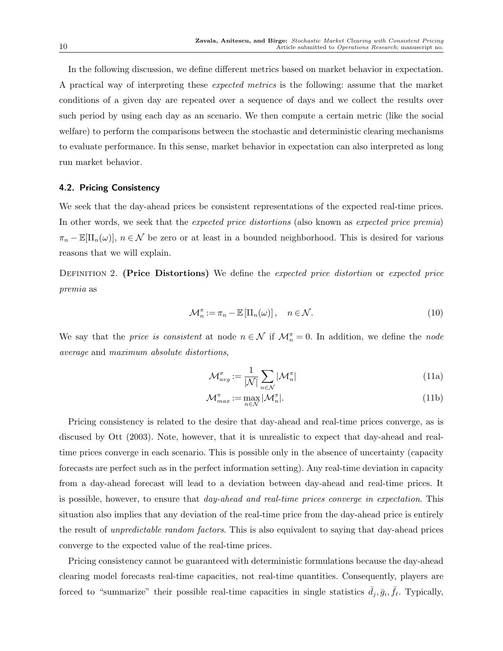In the following discussion, we define different metrics based on market behavior in expectation. A practical way of interpreting these expected metrics is the following: assume that the market conditions of a given day are repeated over a sequence of days and we collect the results over such period by using each day as an scenario. We then compute a certain metric (like the social welfare) to perform the comparisons between the stochastic and deterministic clearing mechanisms to evaluate performance. In this sense, market behavior in expectation can also interpreted as long run market behavior.

## 4.2. Pricing Consistency

We seek that the day-ahead prices be consistent representations of the expected real-time prices. In other words, we seek that the *expected price distortions* (also known as *expected price premia*)  $\pi_n - \mathbb{E}[\Pi_n(\omega)], n \in \mathcal{N}$  be zero or at least in a bounded neighborhood. This is desired for various reasons that we will explain.

DEFINITION 2. (Price Distortions) We define the expected price distortion or expected price premia as

$$
\mathcal{M}_n^{\pi} := \pi_n - \mathbb{E} \left[ \Pi_n(\omega) \right], \quad n \in \mathcal{N}.
$$
 (10)

We say that the *price is consistent* at node  $n \in \mathcal{N}$  if  $\mathcal{M}_n^{\pi} = 0$ . In addition, we define the *node* average and maximum absolute distortions,

$$
\mathcal{M}_{avg}^{\pi} := \frac{1}{|\mathcal{N}|} \sum_{n \in \mathcal{N}} |\mathcal{M}_n^{\pi}| \tag{11a}
$$

$$
\mathcal{M}_{max}^{\pi} := \max_{n \in \mathcal{N}} |\mathcal{M}_n^{\pi}|.
$$
\n(11b)

Pricing consistency is related to the desire that day-ahead and real-time prices converge, as is discused by Ott (2003). Note, however, that it is unrealistic to expect that day-ahead and realtime prices converge in each scenario. This is possible only in the absence of uncertainty (capacity forecasts are perfect such as in the perfect information setting). Any real-time deviation in capacity from a day-ahead forecast will lead to a deviation between day-ahead and real-time prices. It is possible, however, to ensure that day-ahead and real-time prices converge in expectation. This situation also implies that any deviation of the real-time price from the day-ahead price is entirely the result of unpredictable random factors. This is also equivalent to saying that day-ahead prices converge to the expected value of the real-time prices.

Pricing consistency cannot be guaranteed with deterministic formulations because the day-ahead clearing model forecasts real-time capacities, not real-time quantities. Consequently, players are forced to "summarize" their possible real-time capacities in single statistics  $\bar{d}_j$ ,  $\bar{g}_i$ ,  $\bar{f}_\ell$ . Typically,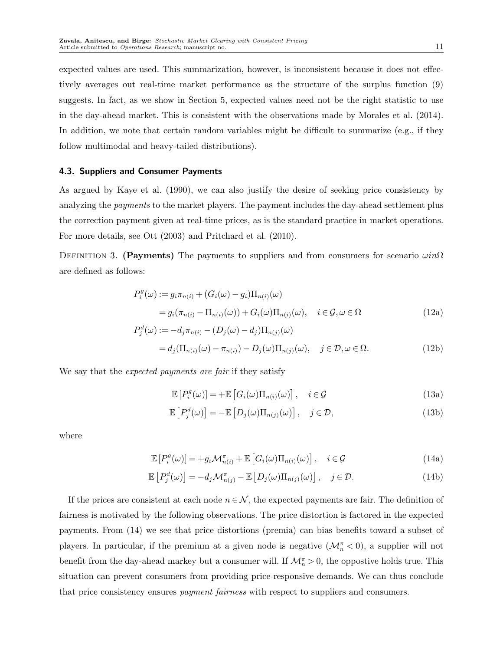expected values are used. This summarization, however, is inconsistent because it does not effectively averages out real-time market performance as the structure of the surplus function (9) suggests. In fact, as we show in Section 5, expected values need not be the right statistic to use in the day-ahead market. This is consistent with the observations made by Morales et al. (2014). In addition, we note that certain random variables might be difficult to summarize (e.g., if they follow multimodal and heavy-tailed distributions).

## 4.3. Suppliers and Consumer Payments

As argued by Kaye et al. (1990), we can also justify the desire of seeking price consistency by analyzing the *payments* to the market players. The payment includes the day-ahead settlement plus the correction payment given at real-time prices, as is the standard practice in market operations. For more details, see Ott (2003) and Pritchard et al. (2010).

DEFINITION 3. (Payments) The payments to suppliers and from consumers for scenario  $\omega in\Omega$ are defined as follows:

$$
P_i^g(\omega) := g_i \pi_{n(i)} + (G_i(\omega) - g_i) \Pi_{n(i)}(\omega)
$$
  
=  $g_i(\pi_{n(i)} - \Pi_{n(i)}(\omega)) + G_i(\omega) \Pi_{n(i)}(\omega), \quad i \in \mathcal{G}, \omega \in \Omega$  (12a)

$$
P_j^d(\omega) := -d_j \pi_{n(i)} - (D_j(\omega) - d_j) \Pi_{n(j)}(\omega)
$$
  
=  $d_j(\Pi_{n(i)}(\omega) - \pi_{n(i)}) - D_j(\omega) \Pi_{n(j)}(\omega), \quad j \in \mathcal{D}, \omega \in \Omega.$  (12b)

We say that the *expected payments are fair* if they satisfy

$$
\mathbb{E}\left[P_i^g(\omega)\right] = +\mathbb{E}\left[G_i(\omega)\Pi_{n(i)}(\omega)\right], \quad i \in \mathcal{G}
$$
\n(13a)

$$
\mathbb{E}\left[P_j^d(\omega)\right] = -\mathbb{E}\left[D_j(\omega)\Pi_{n(j)}(\omega)\right], \quad j \in \mathcal{D},\tag{13b}
$$

where

$$
\mathbb{E}\left[P_i^g(\omega)\right] = +g_i\mathcal{M}_{n(i)}^{\pi} + \mathbb{E}\left[G_i(\omega)\Pi_{n(i)}(\omega)\right], \quad i \in \mathcal{G}
$$
\n(14a)

$$
\mathbb{E}\left[P_j^d(\omega)\right] = -d_j \mathcal{M}_{n(j)}^{\pi} - \mathbb{E}\left[D_j(\omega)\Pi_{n(j)}(\omega)\right], \quad j \in \mathcal{D}.
$$
\n(14b)

If the prices are consistent at each node  $n \in \mathcal{N}$ , the expected payments are fair. The definition of fairness is motivated by the following observations. The price distortion is factored in the expected payments. From (14) we see that price distortions (premia) can bias benefits toward a subset of players. In particular, if the premium at a given node is negative  $(\mathcal{M}_n^{\pi} < 0)$ , a supplier will not benefit from the day-ahead markey but a consumer will. If  $\mathcal{M}_n^{\pi} > 0$ , the oppostive holds true. This situation can prevent consumers from providing price-responsive demands. We can thus conclude that price consistency ensures *payment fairness* with respect to suppliers and consumers.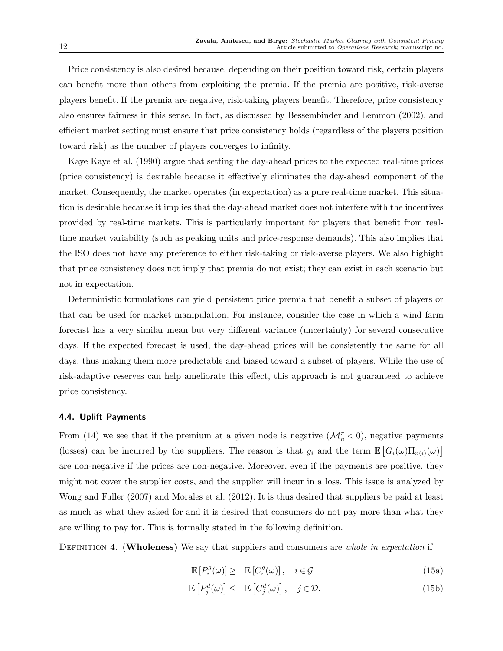Price consistency is also desired because, depending on their position toward risk, certain players can benefit more than others from exploiting the premia. If the premia are positive, risk-averse players benefit. If the premia are negative, risk-taking players benefit. Therefore, price consistency also ensures fairness in this sense. In fact, as discussed by Bessembinder and Lemmon (2002), and efficient market setting must ensure that price consistency holds (regardless of the players position toward risk) as the number of players converges to infinity.

Kaye Kaye et al. (1990) argue that setting the day-ahead prices to the expected real-time prices (price consistency) is desirable because it effectively eliminates the day-ahead component of the market. Consequently, the market operates (in expectation) as a pure real-time market. This situation is desirable because it implies that the day-ahead market does not interfere with the incentives provided by real-time markets. This is particularly important for players that benefit from realtime market variability (such as peaking units and price-response demands). This also implies that the ISO does not have any preference to either risk-taking or risk-averse players. We also highight that price consistency does not imply that premia do not exist; they can exist in each scenario but not in expectation.

Deterministic formulations can yield persistent price premia that benefit a subset of players or that can be used for market manipulation. For instance, consider the case in which a wind farm forecast has a very similar mean but very different variance (uncertainty) for several consecutive days. If the expected forecast is used, the day-ahead prices will be consistently the same for all days, thus making them more predictable and biased toward a subset of players. While the use of risk-adaptive reserves can help ameliorate this effect, this approach is not guaranteed to achieve price consistency.

## 4.4. Uplift Payments

From (14) we see that if the premium at a given node is negative  $(\mathcal{M}_n^{\pi} < 0)$ , negative payments (losses) can be incurred by the suppliers. The reason is that  $g_i$  and the term  $\mathbb{E}\left[G_i(\omega)\Pi_{n(i)}(\omega)\right]$ are non-negative if the prices are non-negative. Moreover, even if the payments are positive, they might not cover the supplier costs, and the supplier will incur in a loss. This issue is analyzed by Wong and Fuller (2007) and Morales et al. (2012). It is thus desired that suppliers be paid at least as much as what they asked for and it is desired that consumers do not pay more than what they are willing to pay for. This is formally stated in the following definition.

DEFINITION 4. (Wholeness) We say that suppliers and consumers are *whole in expectation* if

$$
\mathbb{E}\left[P_i^g(\omega)\right] \geq \mathbb{E}\left[C_i^g(\omega)\right], \quad i \in \mathcal{G} \tag{15a}
$$

$$
-\mathbb{E}\left[P_j^d(\omega)\right] \le -\mathbb{E}\left[C_j^d(\omega)\right], \quad j \in \mathcal{D}.\tag{15b}
$$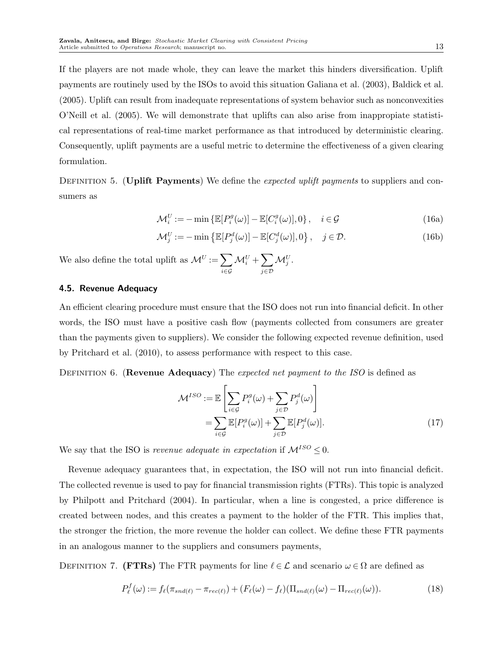If the players are not made whole, they can leave the market this hinders diversification. Uplift payments are routinely used by the ISOs to avoid this situation Galiana et al. (2003), Baldick et al. (2005). Uplift can result from inadequate representations of system behavior such as nonconvexities O'Neill et al. (2005). We will demonstrate that uplifts can also arise from inappropiate statistical representations of real-time market performance as that introduced by deterministic clearing. Consequently, uplift payments are a useful metric to determine the effectiveness of a given clearing formulation.

DEFINITION 5. (Uplift Payments) We define the expected uplift payments to suppliers and consumers as

$$
\mathcal{M}_i^U := -\min\left\{ \mathbb{E}[P_i^g(\omega)] - \mathbb{E}[C_i^g(\omega)], 0 \right\}, \quad i \in \mathcal{G}
$$
\n(16a)

$$
\mathcal{M}_j^U := -\min\left\{\mathbb{E}[P_j^d(\omega)] - \mathbb{E}[C_j^d(\omega)], 0\right\}, \quad j \in \mathcal{D}.
$$
 (16b)

We also define the total uplift as  $\mathcal{M}^U := \sum$ i∈G  $\mathcal{M}_i^U + \sum$ j∈D  $\mathcal{M}^U_j$  .

# 4.5. Revenue Adequacy

An efficient clearing procedure must ensure that the ISO does not run into financial deficit. In other words, the ISO must have a positive cash flow (payments collected from consumers are greater than the payments given to suppliers). We consider the following expected revenue definition, used by Pritchard et al. (2010), to assess performance with respect to this case.

DEFINITION 6. (Revenue Adequacy) The expected net payment to the ISO is defined as

$$
\mathcal{M}^{ISO} := \mathbb{E}\left[\sum_{i \in \mathcal{G}} P_i^g(\omega) + \sum_{j \in \mathcal{D}} P_j^d(\omega)\right]
$$

$$
= \sum_{i \in \mathcal{G}} \mathbb{E}[P_i^g(\omega)] + \sum_{j \in \mathcal{D}} \mathbb{E}[P_j^d(\omega)].
$$
(17)

We say that the ISO is *revenue adequate in expectation* if  $\mathcal{M}^{ISO} \leq 0$ .

Revenue adequacy guarantees that, in expectation, the ISO will not run into financial deficit. The collected revenue is used to pay for financial transmission rights (FTRs). This topic is analyzed by Philpott and Pritchard (2004). In particular, when a line is congested, a price difference is created between nodes, and this creates a payment to the holder of the FTR. This implies that, the stronger the friction, the more revenue the holder can collect. We define these FTR payments in an analogous manner to the suppliers and consumers payments,

DEFINITION 7. (FTRs) The FTR payments for line  $\ell \in \mathcal{L}$  and scenario  $\omega \in \Omega$  are defined as

$$
P_{\ell}^{f}(\omega) := f_{\ell}(\pi_{snd(\ell)} - \pi_{rec(\ell)}) + (F_{\ell}(\omega) - f_{\ell})(\Pi_{snd(\ell)}(\omega) - \Pi_{rec(\ell)}(\omega)).
$$
\n(18)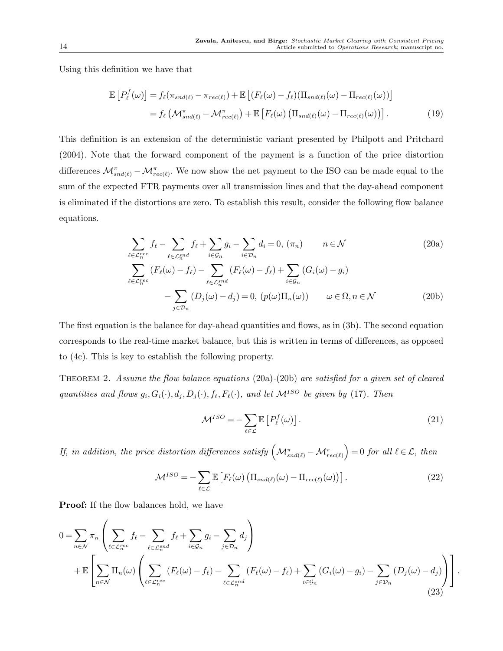Using this definition we have that

$$
\mathbb{E}\left[P_{\ell}^{f}(\omega)\right] = f_{\ell}(\pi_{snd(\ell)} - \pi_{rec(\ell)}) + \mathbb{E}\left[(F_{\ell}(\omega) - f_{\ell})(\Pi_{snd(\ell)}(\omega) - \Pi_{rec(\ell)}(\omega))\right]
$$

$$
= f_{\ell}\left(\mathcal{M}_{snd(\ell)}^{\pi} - \mathcal{M}_{rec(\ell)}^{\pi}\right) + \mathbb{E}\left[F_{\ell}(\omega)\left(\Pi_{snd(\ell)}(\omega) - \Pi_{rec(\ell)}(\omega)\right)\right].
$$
(19)

This definition is an extension of the deterministic variant presented by Philpott and Pritchard (2004). Note that the forward component of the payment is a function of the price distortion differences  $\mathcal{M}_{snd(\ell)}^{\pi} - \mathcal{M}_{rec(\ell)}^{\pi}$ . We now show the net payment to the ISO can be made equal to the sum of the expected FTR payments over all transmission lines and that the day-ahead component is eliminated if the distortions are zero. To establish this result, consider the following flow balance equations.

$$
\sum_{\ell \in \mathcal{L}_n^{rec}} f_{\ell} - \sum_{\ell \in \mathcal{L}_n^{snd}} f_{\ell} + \sum_{i \in \mathcal{G}_n} g_i - \sum_{i \in \mathcal{D}_n} d_i = 0, (\pi_n) \qquad n \in \mathcal{N}
$$
\n
$$
\sum_{\ell \in \mathcal{L}_n^{rec}} (F_{\ell}(\omega) - f_{\ell}) - \sum_{\ell \in \mathcal{L}_n^{snd}} (F_{\ell}(\omega) - f_{\ell}) + \sum_{i \in \mathcal{G}_n} (G_i(\omega) - g_i)
$$
\n
$$
- \sum_{j \in \mathcal{D}_n} (D_j(\omega) - d_j) = 0, (p(\omega) \Pi_n(\omega)) \qquad \omega \in \Omega, n \in \mathcal{N}
$$
\n(20b)

The first equation is the balance for day-ahead quantities and flows, as in (3b). The second equation corresponds to the real-time market balance, but this is written in terms of differences, as opposed to (4c). This is key to establish the following property.

Theorem 2. Assume the flow balance equations (20a)-(20b) are satisfied for a given set of cleared quantities and flows  $g_i, G_i(\cdot), d_j, D_j(\cdot), f_\ell, F_\ell(\cdot)$ , and let  $\mathcal{M}^{ISO}$  be given by (17). Then

$$
\mathcal{M}^{ISO} = -\sum_{\ell \in \mathcal{L}} \mathbb{E}\left[P_{\ell}^{f}(\omega)\right].
$$
\n(21)

If, in addition, the price distortion differences satisfy  $\left( {\mathcal M}_{snd(\ell)}^{\pi} - {\mathcal M}_{rec(\ell)}^{\pi}\right) = 0$  for all  $\ell \in {\mathcal L},$  then

$$
\mathcal{M}^{ISO} = -\sum_{\ell \in \mathcal{L}} \mathbb{E}\left[F_{\ell}(\omega) \left(\Pi_{\text{snd}(\ell)}(\omega) - \Pi_{\text{rec}(\ell)}(\omega)\right)\right]. \tag{22}
$$

**Proof:** If the flow balances hold, we have

$$
0 = \sum_{n \in \mathcal{N}} \pi_n \left( \sum_{\ell \in \mathcal{L}_n^{rec}} f_{\ell} - \sum_{\ell \in \mathcal{L}_n^{snd}} f_{\ell} + \sum_{i \in \mathcal{G}_n} g_i - \sum_{j \in \mathcal{D}_n} d_j \right) + \mathbb{E} \left[ \sum_{n \in \mathcal{N}} \Pi_n(\omega) \left( \sum_{\ell \in \mathcal{L}_n^{rec}} (F_{\ell}(\omega) - f_{\ell}) - \sum_{\ell \in \mathcal{L}_n^{snd}} (F_{\ell}(\omega) - f_{\ell}) + \sum_{i \in \mathcal{G}_n} (G_i(\omega) - g_i) - \sum_{j \in \mathcal{D}_n} (D_j(\omega) - d_j) \right) \right].
$$
\n(23)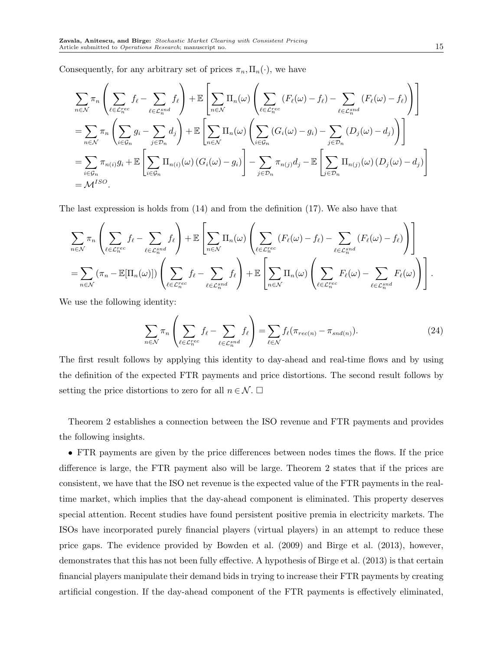Consequently, for any arbitrary set of prices  $\pi_n, \Pi_n(\cdot)$ , we have

$$
\sum_{n \in \mathcal{N}} \pi_n \left( \sum_{\ell \in \mathcal{L}_n^{rec}} f_{\ell} - \sum_{\ell \in \mathcal{L}_n^{ind}} f_{\ell} \right) + \mathbb{E} \left[ \sum_{n \in \mathcal{N}} \Pi_n(\omega) \left( \sum_{\ell \in \mathcal{L}_n^{rec}} (F_{\ell}(\omega) - f_{\ell}) - \sum_{\ell \in \mathcal{L}_n^{snd}} (F_{\ell}(\omega) - f_{\ell}) \right) \right]
$$
\n
$$
= \sum_{n \in \mathcal{N}} \pi_n \left( \sum_{i \in \mathcal{G}_n} g_i - \sum_{j \in \mathcal{D}_n} d_j \right) + \mathbb{E} \left[ \sum_{n \in \mathcal{N}} \Pi_n(\omega) \left( \sum_{i \in \mathcal{G}_n} (G_i(\omega) - g_i) - \sum_{j \in \mathcal{D}_n} (D_j(\omega) - d_j) \right) \right]
$$
\n
$$
= \sum_{i \in \mathcal{G}_n} \pi_{n(i)} g_i + \mathbb{E} \left[ \sum_{i \in \mathcal{G}_n} \Pi_{n(i)}(\omega) (G_i(\omega) - g_i) \right] - \sum_{j \in \mathcal{D}_n} \pi_{n(j)} d_j - \mathbb{E} \left[ \sum_{j \in \mathcal{D}_n} \Pi_{n(j)}(\omega) (D_j(\omega) - d_j) \right]
$$
\n
$$
= \mathcal{M}^{ISO}.
$$

The last expression is holds from (14) and from the definition (17). We also have that

$$
\sum_{n \in \mathcal{N}} \pi_n \left( \sum_{\ell \in \mathcal{L}_n^{rec}} f_{\ell} - \sum_{\ell \in \mathcal{L}_n^{end}} f_{\ell} \right) + \mathbb{E} \left[ \sum_{n \in \mathcal{N}} \Pi_n(\omega) \left( \sum_{\ell \in \mathcal{L}_n^{rec}} (F_{\ell}(\omega) - f_{\ell}) - \sum_{\ell \in \mathcal{L}_n^{snd}} (F_{\ell}(\omega) - f_{\ell}) \right) \right]
$$
\n
$$
= \sum_{n \in \mathcal{N}} (\pi_n - \mathbb{E}[\Pi_n(\omega)]) \left( \sum_{\ell \in \mathcal{L}_n^{rec}} f_{\ell} - \sum_{\ell \in \mathcal{L}_n^{end}} f_{\ell} \right) + \mathbb{E} \left[ \sum_{n \in \mathcal{N}} \Pi_n(\omega) \left( \sum_{\ell \in \mathcal{L}_n^{rec}} F_{\ell}(\omega) - \sum_{\ell \in \mathcal{L}_n^{snd}} F_{\ell}(\omega) \right) \right].
$$

We use the following identity:

$$
\sum_{n \in \mathcal{N}} \pi_n \left( \sum_{\ell \in \mathcal{L}_n^{rec}} f_{\ell} - \sum_{\ell \in \mathcal{L}_n^{snd}} f_{\ell} \right) = \sum_{\ell \in \mathcal{N}} f_{\ell} (\pi_{rec(n)} - \pi_{snd(n)}).
$$
(24)

The first result follows by applying this identity to day-ahead and real-time flows and by using the definition of the expected FTR payments and price distortions. The second result follows by setting the price distortions to zero for all  $n \in \mathcal{N}$ .  $\Box$ 

Theorem 2 establishes a connection between the ISO revenue and FTR payments and provides the following insights.

• FTR payments are given by the price differences between nodes times the flows. If the price difference is large, the FTR payment also will be large. Theorem 2 states that if the prices are consistent, we have that the ISO net revenue is the expected value of the FTR payments in the realtime market, which implies that the day-ahead component is eliminated. This property deserves special attention. Recent studies have found persistent positive premia in electricity markets. The ISOs have incorporated purely financial players (virtual players) in an attempt to reduce these price gaps. The evidence provided by Bowden et al. (2009) and Birge et al. (2013), however, demonstrates that this has not been fully effective. A hypothesis of Birge et al. (2013) is that certain financial players manipulate their demand bids in trying to increase their FTR payments by creating artificial congestion. If the day-ahead component of the FTR payments is effectively eliminated,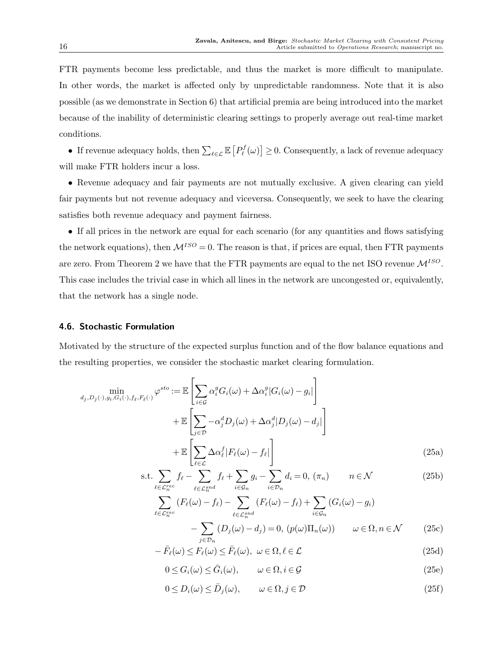FTR payments become less predictable, and thus the market is more difficult to manipulate. In other words, the market is affected only by unpredictable randomness. Note that it is also possible (as we demonstrate in Section 6) that artificial premia are being introduced into the market because of the inability of deterministic clearing settings to properly average out real-time market conditions.

• If revenue adequacy holds, then  $\sum_{\ell \in \mathcal{L}} \mathbb{E}\left[P^f_{\ell}(\omega)\right] \geq 0$ . Consequently, a lack of revenue adequacy will make FTR holders incur a loss.

• Revenue adequacy and fair payments are not mutually exclusive. A given clearing can yield fair payments but not revenue adequacy and viceversa. Consequently, we seek to have the clearing satisfies both revenue adequacy and payment fairness.

• If all prices in the network are equal for each scenario (for any quantities and flows satisfying the network equations), then  $\mathcal{M}^{ISO}=0$ . The reason is that, if prices are equal, then FTR payments are zero. From Theorem 2 we have that the FTR payments are equal to the net ISO revenue  $\mathcal{M}^{ISO}$ . This case includes the trivial case in which all lines in the network are uncongested or, equivalently, that the network has a single node.

## 4.6. Stochastic Formulation

Motivated by the structure of the expected surplus function and of the flow balance equations and the resulting properties, we consider the stochastic market clearing formulation.

$$
\min_{d_j, D_j(\cdot), g_i, G_i(\cdot), f_\ell, F_\ell(\cdot)} \varphi^{sto} := \mathbb{E} \left[ \sum_{i \in \mathcal{G}} \alpha_i^g G_i(\omega) + \Delta \alpha_i^g | G_i(\omega) - g_i \right] + \mathbb{E} \left[ \sum_{j \in \mathcal{D}} -\alpha_j^d D_j(\omega) + \Delta \alpha_j^d | D_j(\omega) - d_j \right] + \mathbb{E} \left[ \sum_{\ell \in \mathcal{L}} \Delta \alpha_\ell^f | F_\ell(\omega) - f_\ell \right]
$$
\n(25a)

$$
\text{s.t.} \sum_{\ell \in \mathcal{L}_n^{rec}} f_{\ell} - \sum_{\ell \in \mathcal{L}_n^{snd}} f_{\ell} + \sum_{i \in \mathcal{G}_n} g_i - \sum_{i \in \mathcal{D}_n} d_i = 0, \ (\pi_n) \qquad n \in \mathcal{N} \tag{25b}
$$

$$
\sum_{\ell \in \mathcal{L}_n^{rec}} (F_{\ell}(\omega) - f_{\ell}) - \sum_{\ell \in \mathcal{L}_n^{snd}} (F_{\ell}(\omega) - f_{\ell}) + \sum_{i \in \mathcal{G}_n} (G_i(\omega) - g_i)
$$

$$
- \sum_{j \in \mathcal{D}_n} (D_j(\omega) - d_j) = 0, (p(\omega) \Pi_n(\omega)) \qquad \omega \in \Omega, n \in \mathcal{N}
$$
(25c)

$$
-\bar{F}_{\ell}(\omega) \le F_{\ell}(\omega) \le \bar{F}_{\ell}(\omega), \ \omega \in \Omega, \ell \in \mathcal{L}
$$
\n(25d)

$$
0 \le G_i(\omega) \le \bar{G}_i(\omega), \qquad \omega \in \Omega, i \in \mathcal{G}
$$
\n
$$
(25e)
$$

$$
0 \le D_i(\omega) \le \bar{D}_j(\omega), \qquad \omega \in \Omega, j \in \mathcal{D}
$$
\n
$$
(25f)
$$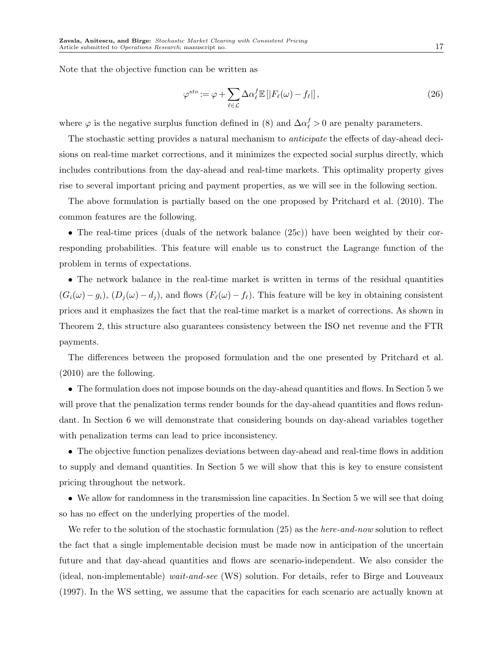Note that the objective function can be written as

$$
\varphi^{sto} := \varphi + \sum_{\ell \in \mathcal{L}} \Delta \alpha_{\ell}^f \mathbb{E} \left[ |F_{\ell}(\omega) - f_{\ell}| \right],\tag{26}
$$

where  $\varphi$  is the negative surplus function defined in (8) and  $\Delta \alpha_{\ell}^{f} > 0$  are penalty parameters.

The stochastic setting provides a natural mechanism to *anticipate* the effects of day-ahead decisions on real-time market corrections, and it minimizes the expected social surplus directly, which includes contributions from the day-ahead and real-time markets. This optimality property gives rise to several important pricing and payment properties, as we will see in the following section.

The above formulation is partially based on the one proposed by Pritchard et al. (2010). The common features are the following.

• The real-time prices (duals of the network balance (25c)) have been weighted by their corresponding probabilities. This feature will enable us to construct the Lagrange function of the problem in terms of expectations.

• The network balance in the real-time market is written in terms of the residual quantities  $(G_i(\omega) - g_i), (D_j(\omega) - d_j)$ , and flows  $(F_\ell(\omega) - f_\ell)$ . This feature will be key in obtaining consistent prices and it emphasizes the fact that the real-time market is a market of corrections. As shown in Theorem 2, this structure also guarantees consistency between the ISO net revenue and the FTR payments.

The differences between the proposed formulation and the one presented by Pritchard et al. (2010) are the following.

• The formulation does not impose bounds on the day-ahead quantities and flows. In Section 5 we will prove that the penalization terms render bounds for the day-ahead quantities and flows redundant. In Section 6 we will demonstrate that considering bounds on day-ahead variables together with penalization terms can lead to price inconsistency.

• The objective function penalizes deviations between day-ahead and real-time flows in addition to supply and demand quantities. In Section 5 we will show that this is key to ensure consistent pricing throughout the network.

• We allow for randomness in the transmission line capacities. In Section 5 we will see that doing so has no effect on the underlying properties of the model.

We refer to the solution of the stochastic formulation  $(25)$  as the *here-and-now* solution to reflect the fact that a single implementable decision must be made now in anticipation of the uncertain future and that day-ahead quantities and flows are scenario-independent. We also consider the (ideal, non-implementable) wait-and-see (WS) solution. For details, refer to Birge and Louveaux (1997). In the WS setting, we assume that the capacities for each scenario are actually known at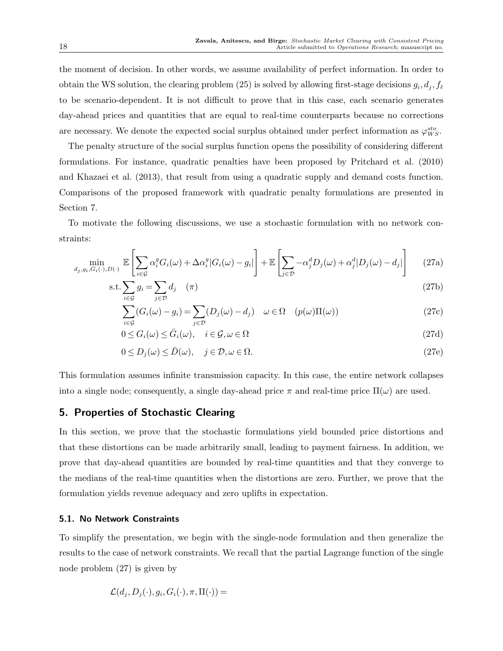the moment of decision. In other words, we assume availability of perfect information. In order to obtain the WS solution, the clearing problem (25) is solved by allowing first-stage decisions  $g_i, d_j, f_\ell$ to be scenario-dependent. It is not difficult to prove that in this case, each scenario generates day-ahead prices and quantities that are equal to real-time counterparts because no corrections are necessary. We denote the expected social surplus obtained under perfect information as  $\varphi_{WS}^{sto}$ .

The penalty structure of the social surplus function opens the possibility of considering different formulations. For instance, quadratic penalties have been proposed by Pritchard et al. (2010) and Khazaei et al. (2013), that result from using a quadratic supply and demand costs function. Comparisons of the proposed framework with quadratic penalty formulations are presented in Section 7.

To motivate the following discussions, we use a stochastic formulation with no network constraints:

$$
\min_{d_j, g_i, G_i(\cdot), D(\cdot)} \mathbb{E}\left[\sum_{i \in \mathcal{G}} \alpha_i^g G_i(\omega) + \Delta \alpha_i^g |G_i(\omega) - g_i|\right] + \mathbb{E}\left[\sum_{j \in \mathcal{D}} -\alpha_j^d D_j(\omega) + \alpha_j^d |D_j(\omega) - d_j|\right] \tag{27a}
$$

$$
s.t. \sum_{i \in \mathcal{G}} g_i = \sum_{j \in \mathcal{D}} d_j \quad (\pi) \tag{27b}
$$

$$
\sum_{i \in \mathcal{G}} (G_i(\omega) - g_i) = \sum_{j \in \mathcal{D}} (D_j(\omega) - d_j) \quad \omega \in \Omega \quad (p(\omega)\Pi(\omega))
$$
\n(27c)

$$
0 \le G_i(\omega) \le \bar{G}_i(\omega), \quad i \in \mathcal{G}, \omega \in \Omega
$$
\n
$$
(27d)
$$

$$
0 \le D_j(\omega) \le \bar{D}(\omega), \quad j \in \mathcal{D}, \omega \in \Omega.
$$
\n
$$
(27e)
$$

This formulation assumes infinite transmission capacity. In this case, the entire network collapses into a single node; consequently, a single day-ahead price  $\pi$  and real-time price  $\Pi(\omega)$  are used.

# 5. Properties of Stochastic Clearing

In this section, we prove that the stochastic formulations yield bounded price distortions and that these distortions can be made arbitrarily small, leading to payment fairness. In addition, we prove that day-ahead quantities are bounded by real-time quantities and that they converge to the medians of the real-time quantities when the distortions are zero. Further, we prove that the formulation yields revenue adequacy and zero uplifts in expectation.

## 5.1. No Network Constraints

To simplify the presentation, we begin with the single-node formulation and then generalize the results to the case of network constraints. We recall that the partial Lagrange function of the single node problem (27) is given by

$$
\mathcal{L}(d_j, D_j(\cdot), g_i, G_i(\cdot), \pi, \Pi(\cdot)) =
$$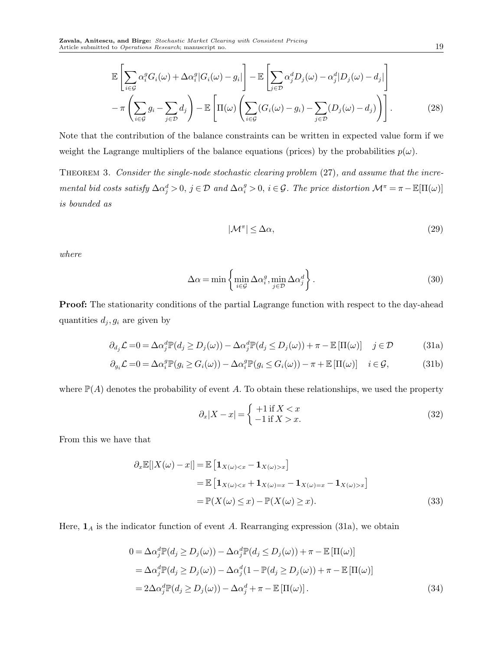$$
\mathbb{E}\left[\sum_{i\in\mathcal{G}}\alpha_i^g G_i(\omega) + \Delta\alpha_i^g |G_i(\omega) - g_i|\right] - \mathbb{E}\left[\sum_{j\in\mathcal{D}}\alpha_j^d D_j(\omega) - \alpha_j^d |D_j(\omega) - d_j|\right] \n- \pi\left(\sum_{i\in\mathcal{G}}g_i - \sum_{j\in\mathcal{D}}d_j\right) - \mathbb{E}\left[\Pi(\omega)\left(\sum_{i\in\mathcal{G}}(G_i(\omega) - g_i) - \sum_{j\in\mathcal{D}}(D_j(\omega) - d_j)\right)\right].
$$
\n(28)

Note that the contribution of the balance constraints can be written in expected value form if we weight the Lagrange multipliers of the balance equations (prices) by the probabilities  $p(\omega)$ .

Theorem 3. Consider the single-node stochastic clearing problem (27), and assume that the incremental bid costs satisfy  $\Delta \alpha_j^d > 0$ ,  $j \in \mathcal{D}$  and  $\Delta \alpha_i^g > 0$ ,  $i \in \mathcal{G}$ . The price distortion  $\mathcal{M}^{\pi} = \pi - \mathbb{E}[\Pi(\omega)]$ is bounded as

$$
|\mathcal{M}^{\pi}| \le \Delta \alpha,\tag{29}
$$

where

$$
\Delta \alpha = \min \left\{ \min_{i \in \mathcal{G}} \Delta \alpha_i^g, \min_{j \in \mathcal{D}} \Delta \alpha_j^d \right\}.
$$
\n(30)

Proof: The stationarity conditions of the partial Lagrange function with respect to the day-ahead quantities  $d_j, g_i$  are given by

$$
\partial_{d_j} \mathcal{L} = 0 = \Delta \alpha_j^d \mathbb{P}(d_j \ge D_j(\omega)) - \Delta \alpha_j^d \mathbb{P}(d_j \le D_j(\omega)) + \pi - \mathbb{E}[\Pi(\omega)] \quad j \in \mathcal{D}
$$
 (31a)

$$
\partial_{g_i} \mathcal{L} = 0 = \Delta \alpha_i^g \mathbb{P}(g_i \ge G_i(\omega)) - \Delta \alpha_i^g \mathbb{P}(g_i \le G_i(\omega)) - \pi + \mathbb{E}[\Pi(\omega)] \quad i \in \mathcal{G}, \tag{31b}
$$

where  $\mathbb{P}(A)$  denotes the probability of event A. To obtain these relationships, we used the property

$$
\partial_x |X - x| = \begin{cases} +1 \text{ if } X < x \\ -1 \text{ if } X > x. \end{cases} \tag{32}
$$

From this we have that

$$
\partial_x \mathbb{E}[|X(\omega) - x|] = \mathbb{E}\left[\mathbf{1}_{X(\omega) < x} - \mathbf{1}_{X(\omega) > x}\right]
$$
\n
$$
= \mathbb{E}\left[\mathbf{1}_{X(\omega) < x} + \mathbf{1}_{X(\omega) = x} - \mathbf{1}_{X(\omega) = x} - \mathbf{1}_{X(\omega) > x}\right]
$$
\n
$$
= \mathbb{P}(X(\omega) \le x) - \mathbb{P}(X(\omega) \ge x). \tag{33}
$$

Here,  $\mathbf{1}_A$  is the indicator function of event A. Rearranging expression (31a), we obtain

$$
0 = \Delta \alpha_j^d \mathbb{P}(d_j \ge D_j(\omega)) - \Delta \alpha_j^d \mathbb{P}(d_j \le D_j(\omega)) + \pi - \mathbb{E}[\Pi(\omega)]
$$
  
=  $\Delta \alpha_j^d \mathbb{P}(d_j \ge D_j(\omega)) - \Delta \alpha_j^d (1 - \mathbb{P}(d_j \ge D_j(\omega)) + \pi - \mathbb{E}[\Pi(\omega)]$   
=  $2\Delta \alpha_j^d \mathbb{P}(d_j \ge D_j(\omega)) - \Delta \alpha_j^d + \pi - \mathbb{E}[\Pi(\omega)].$  (34)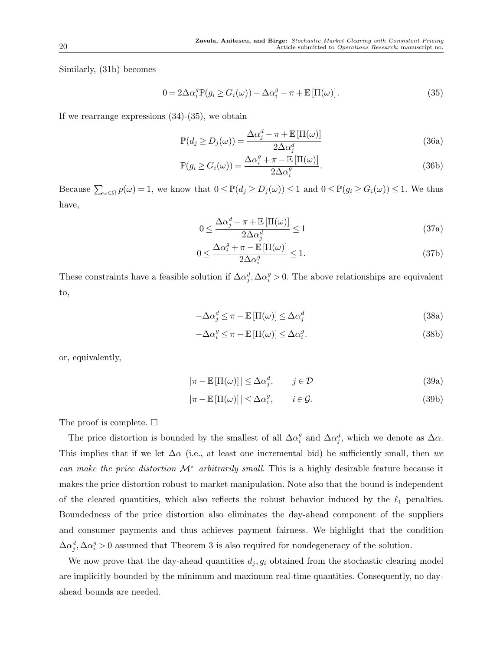Similarly, (31b) becomes

$$
0 = 2\Delta\alpha_i^g \mathbb{P}(g_i \ge G_i(\omega)) - \Delta\alpha_i^g - \pi + \mathbb{E}\left[\Pi(\omega)\right].
$$
\n(35)

If we rearrange expressions  $(34)-(35)$ , we obtain

$$
\mathbb{P}(d_j \ge D_j(\omega)) = \frac{\Delta \alpha_j^d - \pi + \mathbb{E}\left[\Pi(\omega)\right]}{2\Delta \alpha_j^d} \tag{36a}
$$

$$
\mathbb{P}(g_i \ge G_i(\omega)) = \frac{\Delta \alpha_i^g + \pi - \mathbb{E}[\Pi(\omega)]}{2\Delta \alpha_i^g}.
$$
\n(36b)

Because  $\sum_{\omega \in \Omega} p(\omega) = 1$ , we know that  $0 \leq \mathbb{P}(d_j \geq D_j(\omega)) \leq 1$  and  $0 \leq \mathbb{P}(g_i \geq G_i(\omega)) \leq 1$ . We thus have,

$$
0 \le \frac{\Delta \alpha_j^d - \pi + \mathbb{E}\left[\Pi(\omega)\right]}{2\Delta \alpha_j^d} \le 1\tag{37a}
$$

$$
0 \le \frac{\Delta \alpha_i^g + \pi - \mathbb{E}[\Pi(\omega)]}{2\Delta \alpha_i^g} \le 1.
$$
\n(37b)

These constraints have a feasible solution if  $\Delta \alpha_j^d$ ,  $\Delta \alpha_i^g > 0$ . The above relationships are equivalent to,

$$
-\Delta \alpha_j^d \le \pi - \mathbb{E}\left[\Pi(\omega)\right] \le \Delta \alpha_j^d \tag{38a}
$$

$$
-\Delta \alpha_i^g \le \pi - \mathbb{E}\left[\Pi(\omega)\right] \le \Delta \alpha_i^g. \tag{38b}
$$

or, equivalently,

$$
|\pi - \mathbb{E}[\Pi(\omega)]| \le \Delta \alpha_j^d, \qquad j \in \mathcal{D}
$$
\n(39a)

$$
|\pi - \mathbb{E}[\Pi(\omega)]| \le \Delta \alpha_i^g, \qquad i \in \mathcal{G}.
$$
 (39b)

The proof is complete.  $\Box$ 

The price distortion is bounded by the smallest of all  $\Delta \alpha_i^g$  and  $\Delta \alpha_j^d$ , which we denote as  $\Delta \alpha$ . This implies that if we let  $\Delta \alpha$  (i.e., at least one incremental bid) be sufficiently small, then we can make the price distortion  $\mathcal{M}^{\pi}$  arbitrarily small. This is a highly desirable feature because it makes the price distortion robust to market manipulation. Note also that the bound is independent of the cleared quantities, which also reflects the robust behavior induced by the  $\ell_1$  penalties. Boundedness of the price distortion also eliminates the day-ahead component of the suppliers and consumer payments and thus achieves payment fairness. We highlight that the condition  $\Delta \alpha_i^d$ ,  $\Delta \alpha_i^g > 0$  assumed that Theorem 3 is also required for nondegeneracy of the solution.

We now prove that the day-ahead quantities  $d_j, g_i$  obtained from the stochastic clearing model are implicitly bounded by the minimum and maximum real-time quantities. Consequently, no dayahead bounds are needed.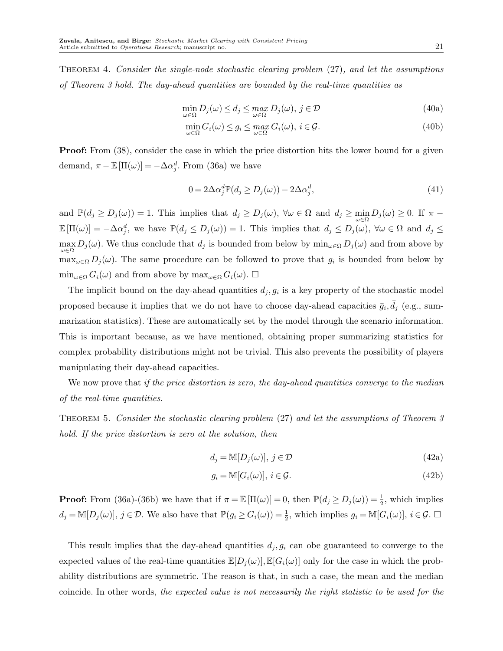THEOREM 4. Consider the single-node stochastic clearing problem (27), and let the assumptions of Theorem 3 hold. The day-ahead quantities are bounded by the real-time quantities as

$$
\min_{\omega \in \Omega} D_j(\omega) \le d_j \le \max_{\omega \in \Omega} D_j(\omega), \ j \in \mathcal{D}
$$
\n(40a)

$$
\min_{\omega \in \Omega} G_i(\omega) \le g_i \le \max_{\omega \in \Omega} G_i(\omega), \ i \in \mathcal{G}.\tag{40b}
$$

**Proof:** From  $(38)$ , consider the case in which the price distortion hits the lower bound for a given demand,  $\pi - \mathbb{E}[\Pi(\omega)] = -\Delta \alpha_j^d$ . From (36a) we have

$$
0 = 2\Delta\alpha_j^d \mathbb{P}(d_j \ge D_j(\omega)) - 2\Delta\alpha_j^d,\tag{41}
$$

and  $\mathbb{P}(d_j \geq D_j(\omega)) = 1$ . This implies that  $d_j \geq D_j(\omega)$ ,  $\forall \omega \in \Omega$  and  $d_j \geq \min_{\omega \in \Omega} D_j(\omega) \geq 0$ . If  $\pi$  $\mathbb{E}[\Pi(\omega)] = -\Delta \alpha_j^d$ , we have  $\mathbb{P}(d_j \leq D_j(\omega)) = 1$ . This implies that  $d_j \leq D_j(\omega)$ ,  $\forall \omega \in \Omega$  and  $d_j \leq \Omega$  $\max_{\omega \in \Omega} D_j(\omega)$ . We thus conclude that  $d_j$  is bounded from below by  $\min_{\omega \in \Omega} D_j(\omega)$  and from above by  $\max_{\omega \in \Omega} D_j(\omega)$ . The same procedure can be followed to prove that  $g_i$  is bounded from below by  $\min_{\omega \in \Omega} G_i(\omega)$  and from above by  $\max_{\omega \in \Omega} G_i(\omega)$ .  $\square$ 

The implicit bound on the day-ahead quantities  $d_j, g_i$  is a key property of the stochastic model proposed because it implies that we do not have to choose day-ahead capacities  $\bar{g}_i$ ,  $\bar{d}_j$  (e.g., summarization statistics). These are automatically set by the model through the scenario information. This is important because, as we have mentioned, obtaining proper summarizing statistics for complex probability distributions might not be trivial. This also prevents the possibility of players manipulating their day-ahead capacities.

We now prove that if the price distortion is zero, the day-ahead quantities converge to the median of the real-time quantities.

Theorem 5. Consider the stochastic clearing problem (27) and let the assumptions of Theorem 3 hold. If the price distortion is zero at the solution, then

$$
d_j = \mathbb{M}[D_j(\omega)], j \in \mathcal{D}
$$
\n(42a)

$$
g_i = \mathbb{M}[G_i(\omega)], \ i \in \mathcal{G}.
$$
\n
$$
(42b)
$$

**Proof:** From (36a)-(36b) we have that if  $\pi = \mathbb{E}[\Pi(\omega)] = 0$ , then  $\mathbb{P}(d_j \geq D_j(\omega)) = \frac{1}{2}$ , which implies  $d_j = \mathbb{M}[D_j(\omega)], j \in \mathcal{D}$ . We also have that  $\mathbb{P}(g_i \ge G_i(\omega)) = \frac{1}{2}$ , which implies  $g_i = \mathbb{M}[G_i(\omega)], i \in \mathcal{G}$ .

This result implies that the day-ahead quantities  $d_j, g_i$  can obe guaranteed to converge to the expected values of the real-time quantities  $\mathbb{E}[D_i(\omega)], \mathbb{E}[G_i(\omega)]$  only for the case in which the probability distributions are symmetric. The reason is that, in such a case, the mean and the median coincide. In other words, the expected value is not necessarily the right statistic to be used for the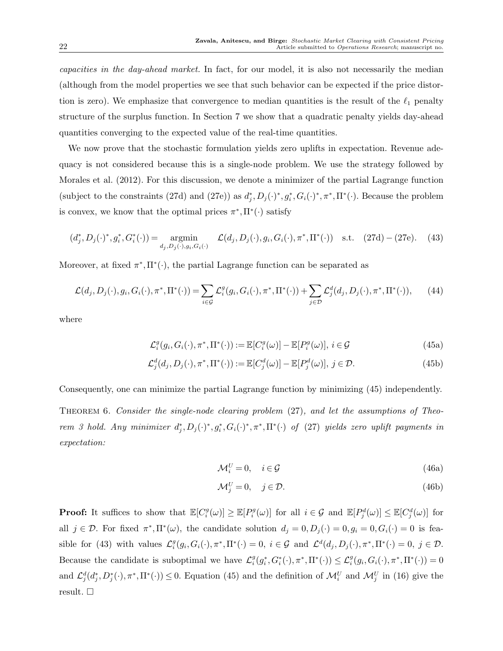capacities in the day-ahead market. In fact, for our model, it is also not necessarily the median (although from the model properties we see that such behavior can be expected if the price distortion is zero). We emphasize that convergence to median quantities is the result of the  $\ell_1$  penalty structure of the surplus function. In Section 7 we show that a quadratic penalty yields day-ahead quantities converging to the expected value of the real-time quantities.

We now prove that the stochastic formulation yields zero uplifts in expectation. Revenue adequacy is not considered because this is a single-node problem. We use the strategy followed by Morales et al. (2012). For this discussion, we denote a minimizer of the partial Lagrange function (subject to the constraints (27d) and (27e)) as  $d_j^*, D_j(\cdot)^*, g_i^*, G_i(\cdot)^*, \pi^*, \Pi^*(\cdot)$ . Because the problem is convex, we know that the optimal prices  $\pi^*, \Pi^*(\cdot)$  satisfy

$$
(d_j^*, D_j(\cdot)^*, g_i^*, G_i^*(\cdot)) = \underset{d_j, D_j(\cdot), g_i, G_i(\cdot)}{\text{argmin}} \mathcal{L}(d_j, D_j(\cdot), g_i, G_i(\cdot), \pi^*, \Pi^*(\cdot)) \text{ s.t. } (27d) - (27e). \tag{43}
$$

Moreover, at fixed  $\pi^*, \Pi^*(\cdot)$ , the partial Lagrange function can be separated as

$$
\mathcal{L}(d_j, D_j(\cdot), g_i, G_i(\cdot), \pi^*, \Pi^*(\cdot)) = \sum_{i \in \mathcal{G}} \mathcal{L}_i^g(g_i, G_i(\cdot), \pi^*, \Pi^*(\cdot)) + \sum_{j \in \mathcal{D}} \mathcal{L}_j^d(d_j, D_j(\cdot), \pi^*, \Pi^*(\cdot)), \tag{44}
$$

where

$$
\mathcal{L}_i^g(g_i, G_i(\cdot), \pi^*, \Pi^*(\cdot)) := \mathbb{E}[C_i^g(\omega)] - \mathbb{E}[P_i^g(\omega)], i \in \mathcal{G}
$$
\n(45a)

$$
\mathcal{L}_j^d(d_j, D_j(\cdot), \pi^*, \Pi^*(\cdot)) := \mathbb{E}[C_j^d(\omega)] - \mathbb{E}[P_j^d(\omega)], j \in \mathcal{D}.
$$
 (45b)

Consequently, one can minimize the partial Lagrange function by minimizing (45) independently.

THEOREM 6. Consider the single-node clearing problem (27), and let the assumptions of Theorem 3 hold. Any minimizer  $d_j^*, D_j(\cdot)^*, g_i^*, G_i(\cdot)^*, \pi^*, \Pi^*(\cdot)$  of (27) yields zero uplift payments in expectation:

$$
\mathcal{M}_i^U = 0, \quad i \in \mathcal{G} \tag{46a}
$$

$$
\mathcal{M}_j^U = 0, \quad j \in \mathcal{D}.\tag{46b}
$$

**Proof:** It suffices to show that  $\mathbb{E}[C_i^g(\omega)] \geq \mathbb{E}[P_i^g(\omega)]$  for all  $i \in \mathcal{G}$  and  $\mathbb{E}[P_j^d(\omega)] \leq \mathbb{E}[C_j^d(\omega)]$  for all  $j \in \mathcal{D}$ . For fixed  $\pi^*$ ,  $\Pi^*(\omega)$ , the candidate solution  $d_j = 0, D_j(\cdot) = 0, g_i = 0, G_i(\cdot) = 0$  is feasible for (43) with values  $\mathcal{L}_i^g(g_i, G_i(\cdot), \pi^*, \Pi^*(\cdot) = 0, i \in \mathcal{G}$  and  $\mathcal{L}^d(d_j, D_j(\cdot), \pi^*, \Pi^*(\cdot) = 0, j \in \mathcal{D}$ . Because the candidate is suboptimal we have  $\mathcal{L}_{i}^{g}(g_i^*, G_i^*(\cdot), \pi^*, \Pi^*(\cdot)) \leq \mathcal{L}_{i}^{g}(g_i, G_i(\cdot), \pi^*, \Pi^*(\cdot)) = 0$ and  $\mathcal{L}_j^d(d_j^*, D_j^*(\cdot), \pi^*, \Pi^*(\cdot)) \leq 0$ . Equation (45) and the definition of  $\mathcal{M}_i^U$  and  $\mathcal{M}_j^U$  in (16) give the result.  $\square$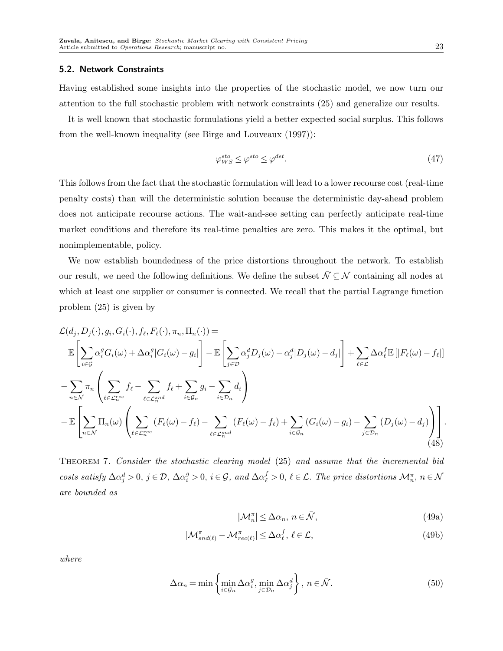#### 5.2. Network Constraints

Having established some insights into the properties of the stochastic model, we now turn our attention to the full stochastic problem with network constraints (25) and generalize our results.

It is well known that stochastic formulations yield a better expected social surplus. This follows from the well-known inequality (see Birge and Louveaux (1997)):

$$
\varphi_{WS}^{sto} \le \varphi^{sto} \le \varphi^{det}.\tag{47}
$$

This follows from the fact that the stochastic formulation will lead to a lower recourse cost (real-time penalty costs) than will the deterministic solution because the deterministic day-ahead problem does not anticipate recourse actions. The wait-and-see setting can perfectly anticipate real-time market conditions and therefore its real-time penalties are zero. This makes it the optimal, but nonimplementable, policy.

We now establish boundedness of the price distortions throughout the network. To establish our result, we need the following definitions. We define the subset  $\bar{\mathcal{N}} \subseteq \mathcal{N}$  containing all nodes at which at least one supplier or consumer is connected. We recall that the partial Lagrange function problem (25) is given by

$$
\mathcal{L}(d_j, D_j(\cdot), g_i, G_i(\cdot), f_\ell, F_\ell(\cdot), \pi_n, \Pi_n(\cdot)) =
$$
\n
$$
\mathbb{E}\left[\sum_{i\in\mathcal{G}} \alpha_i^g G_i(\omega) + \Delta \alpha_i^g |G_i(\omega) - g_i|\right] - \mathbb{E}\left[\sum_{j\in\mathcal{D}} \alpha_j^d D_j(\omega) - \alpha_j^d |D_j(\omega) - d_j|\right] + \sum_{\ell\in\mathcal{L}} \Delta \alpha_\ell^f \mathbb{E}\left[|F_\ell(\omega) - f_\ell|\right]
$$
\n
$$
-\sum_{n\in\mathcal{N}} \pi_n \left(\sum_{\ell\in\mathcal{L}_n^{rec}} f_\ell - \sum_{\ell\in\mathcal{L}_n^{snd}} f_\ell + \sum_{i\in\mathcal{G}_n} g_i - \sum_{i\in\mathcal{D}_n} d_i\right)
$$
\n
$$
-\mathbb{E}\left[\sum_{n\in\mathcal{N}} \Pi_n(\omega) \left(\sum_{\ell\in\mathcal{L}_n^{rec}} (F_\ell(\omega) - f_\ell) - \sum_{\ell\in\mathcal{L}_n^{snd}} (F_\ell(\omega) - f_\ell) + \sum_{i\in\mathcal{G}_n} (G_i(\omega) - g_i) - \sum_{j\in\mathcal{D}_n} (D_j(\omega) - d_j)\right)\right].
$$
\n(48)

Theorem 7. Consider the stochastic clearing model (25) and assume that the incremental bid costs satisfy  $\Delta \alpha_j^d > 0$ ,  $j \in \mathcal{D}$ ,  $\Delta \alpha_i^g > 0$ ,  $i \in \mathcal{G}$ , and  $\Delta \alpha_\ell^f > 0$ ,  $\ell \in \mathcal{L}$ . The price distortions  $\mathcal{M}_n^{\pi}$ ,  $n \in \mathcal{N}$ are bounded as

$$
|\mathcal{M}_n^{\pi}| \le \Delta \alpha_n, \ n \in \bar{\mathcal{N}},\tag{49a}
$$

$$
|\mathcal{M}_{\mathit{snd}(\ell)}^{\pi} - \mathcal{M}_{\mathit{rec}(\ell)}^{\pi}| \leq \Delta \alpha_{\ell}^{f}, \, \ell \in \mathcal{L},\tag{49b}
$$

where

$$
\Delta \alpha_n = \min \left\{ \min_{i \in \mathcal{G}_n} \Delta \alpha_i^g, \min_{j \in \mathcal{D}_n} \Delta \alpha_j^d \right\}, \ n \in \bar{\mathcal{N}}. \tag{50}
$$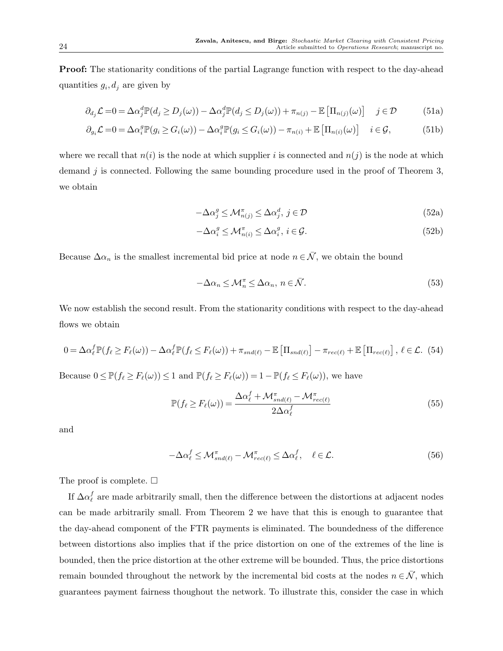Proof: The stationarity conditions of the partial Lagrange function with respect to the day-ahead quantities  $g_i, d_j$  are given by

$$
\partial_{d_j} \mathcal{L} = 0 = \Delta \alpha_j^d \mathbb{P}(d_j \ge D_j(\omega)) - \Delta \alpha_j^d \mathbb{P}(d_j \le D_j(\omega)) + \pi_{n(j)} - \mathbb{E} \left[ \Pi_{n(j)}(\omega) \right] \quad j \in \mathcal{D}
$$
 (51a)

$$
\partial_{g_i} \mathcal{L} = 0 = \Delta \alpha_i^g \mathbb{P}(g_i \ge G_i(\omega)) - \Delta \alpha_i^g \mathbb{P}(g_i \le G_i(\omega)) - \pi_{n(i)} + \mathbb{E} \left[ \Pi_{n(i)}(\omega) \right] \quad i \in \mathcal{G}, \tag{51b}
$$

where we recall that  $n(i)$  is the node at which supplier i is connected and  $n(j)$  is the node at which demand  $j$  is connected. Following the same bounding procedure used in the proof of Theorem 3, we obtain

$$
-\Delta \alpha_j^g \le \mathcal{M}_{n(j)}^{\pi} \le \Delta \alpha_j^d, \ j \in \mathcal{D}
$$
\n<sup>(52a)</sup>

$$
-\Delta \alpha_i^g \le \mathcal{M}_{n(i)}^{\pi} \le \Delta \alpha_i^g, \ i \in \mathcal{G}.\tag{52b}
$$

Because  $\Delta \alpha_n$  is the smallest incremental bid price at node  $n \in \overline{\mathcal{N}}$ , we obtain the bound

$$
-\Delta\alpha_n \le \mathcal{M}_n^{\pi} \le \Delta\alpha_n, \ n \in \bar{\mathcal{N}}.\tag{53}
$$

We now establish the second result. From the stationarity conditions with respect to the day-ahead flows we obtain

$$
0 = \Delta \alpha_{\ell}^{f} \mathbb{P}(f_{\ell} \ge F_{\ell}(\omega)) - \Delta \alpha_{\ell}^{f} \mathbb{P}(f_{\ell} \le F_{\ell}(\omega)) + \pi_{snd(\ell)} - \mathbb{E}\left[\Pi_{snd(\ell)}\right] - \pi_{rec(\ell)} + \mathbb{E}\left[\Pi_{rec(\ell)}\right], \ \ell \in \mathcal{L}.
$$
 (54)

Because  $0 \leq \mathbb{P}(f_{\ell} \geq F_{\ell}(\omega)) \leq 1$  and  $\mathbb{P}(f_{\ell} \geq F_{\ell}(\omega)) = 1 - \mathbb{P}(f_{\ell} \leq F_{\ell}(\omega))$ , we have

$$
\mathbb{P}(f_{\ell} \ge F_{\ell}(\omega)) = \frac{\Delta \alpha_{\ell}^{f} + \mathcal{M}_{snd(\ell)}^{\pi} - \mathcal{M}_{rec(\ell)}^{\pi}}{2\Delta \alpha_{\ell}^{f}}
$$
(55)

and

$$
-\Delta\alpha_{\ell}^{f} \leq \mathcal{M}_{snd(\ell)}^{\pi} - \mathcal{M}_{rec(\ell)}^{\pi} \leq \Delta\alpha_{\ell}^{f}, \quad \ell \in \mathcal{L}.
$$
\n(56)

The proof is complete.  $\Box$ 

If  $\Delta \alpha_\ell^f$  are made arbitrarily small, then the difference between the distortions at adjacent nodes can be made arbitrarily small. From Theorem 2 we have that this is enough to guarantee that the day-ahead component of the FTR payments is eliminated. The boundedness of the difference between distortions also implies that if the price distortion on one of the extremes of the line is bounded, then the price distortion at the other extreme will be bounded. Thus, the price distortions remain bounded throughout the network by the incremental bid costs at the nodes  $n \in \overline{\mathcal{N}}$ , which guarantees payment fairness thoughout the network. To illustrate this, consider the case in which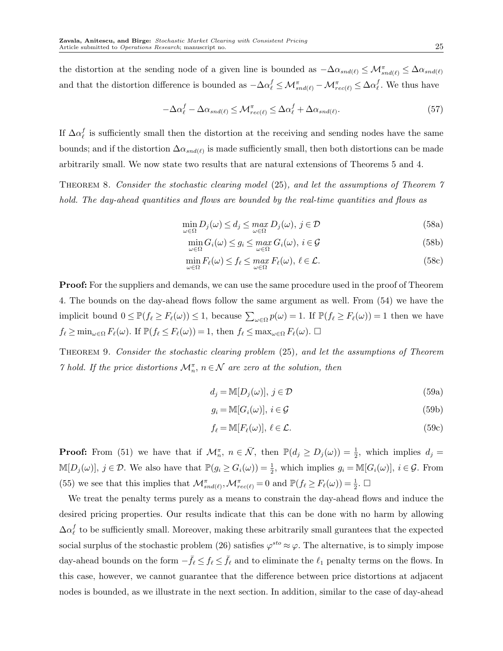the distortion at the sending node of a given line is bounded as  $-\Delta \alpha_{snd(\ell)} \leq \mathcal{M}_{snd(\ell)}^{\pi} \leq \Delta \alpha_{snd(\ell)}$ and that the distortion difference is bounded as  $-\Delta \alpha_\ell^f \leq \mathcal{M}_{snd(\ell)}^{\pi} - \mathcal{M}_{rec(\ell)}^{\pi} \leq \Delta \alpha_\ell^f$ . We thus have

$$
-\Delta\alpha_{\ell}^{f} - \Delta\alpha_{snd(\ell)} \leq \mathcal{M}_{rec(\ell)}^{\pi} \leq \Delta\alpha_{\ell}^{f} + \Delta\alpha_{snd(\ell)}.
$$
\n(57)

If  $\Delta \alpha_{\ell}^{f}$  is sufficiently small then the distortion at the receiving and sending nodes have the same bounds; and if the distortion  $\Delta \alpha_{snd(\ell)}$  is made sufficiently small, then both distortions can be made arbitrarily small. We now state two results that are natural extensions of Theorems 5 and 4.

Theorem 8. Consider the stochastic clearing model (25), and let the assumptions of Theorem 7 hold. The day-ahead quantities and flows are bounded by the real-time quantities and flows as

$$
\min_{\omega \in \Omega} D_j(\omega) \le d_j \le \max_{\omega \in \Omega} D_j(\omega), \ j \in \mathcal{D}
$$
\n(58a)

$$
\min_{\omega \in \Omega} G_i(\omega) \le g_i \le \max_{\omega \in \Omega} G_i(\omega), \ i \in \mathcal{G}
$$
\n(58b)

$$
\min_{\omega \in \Omega} F_{\ell}(\omega) \le f_{\ell} \le \max_{\omega \in \Omega} F_{\ell}(\omega), \ \ell \in \mathcal{L}.\tag{58c}
$$

Proof: For the suppliers and demands, we can use the same procedure used in the proof of Theorem 4. The bounds on the day-ahead flows follow the same argument as well. From (54) we have the implicit bound  $0 \leq \mathbb{P}(f_{\ell} \geq F_{\ell}(\omega)) \leq 1$ , because  $\sum_{\omega \in \Omega} p(\omega) = 1$ . If  $\mathbb{P}(f_{\ell} \geq F_{\ell}(\omega)) = 1$  then we have  $f_{\ell} \ge \min_{\omega \in \Omega} F_{\ell}(\omega)$ . If  $\mathbb{P}(f_{\ell} \le F_{\ell}(\omega)) = 1$ , then  $f_{\ell} \le \max_{\omega \in \Omega} F_{\ell}(\omega)$ .  $\Box$ 

Theorem 9. Consider the stochastic clearing problem (25), and let the assumptions of Theorem *7* hold. If the price distortions  $\mathcal{M}_n^{\pi}$ ,  $n \in \mathcal{N}$  are zero at the solution, then

$$
d_j = \mathbb{M}[D_j(\omega)], j \in \mathcal{D}
$$
\n(59a)

$$
g_i = \mathbb{M}[G_i(\omega)], \ i \in \mathcal{G}
$$
\n<sup>(59b)</sup>

$$
f_{\ell} = \mathbb{M}[F_{\ell}(\omega)], \ \ell \in \mathcal{L}.\tag{59c}
$$

**Proof:** From (51) we have that if  $\mathcal{M}_n^{\pi}$ ,  $n \in \bar{\mathcal{N}}$ , then  $\mathbb{P}(d_j \geq D_j(\omega)) = \frac{1}{2}$ , which implies  $d_j =$  $\mathbb{M}[D_j(\omega)], j \in \mathcal{D}$ . We also have that  $\mathbb{P}(g_i \ge G_i(\omega)) = \frac{1}{2}$ , which implies  $g_i = \mathbb{M}[G_i(\omega)], i \in \mathcal{G}$ . From (55) we see that this implies that  $\mathcal{M}_{snd(\ell)}^{\pi}, \mathcal{M}_{rec(\ell)}^{\pi} = 0$  and  $\mathbb{P}(f_{\ell} \geq F_{\ell}(\omega)) = \frac{1}{2}$ .  $\Box$ 

We treat the penalty terms purely as a means to constrain the day-ahead flows and induce the desired pricing properties. Our results indicate that this can be done with no harm by allowing  $\Delta \alpha_\ell^f$  to be sufficiently small. Moreover, making these arbitrarily small gurantees that the expected social surplus of the stochastic problem (26) satisfies  $\varphi^{sto} \approx \varphi$ . The alternative, is to simply impose day-ahead bounds on the form  $-\bar{f}_{\ell} \leq f_{\ell} \leq \bar{f}_{\ell}$  and to eliminate the  $\ell_1$  penalty terms on the flows. In this case, however, we cannot guarantee that the difference between price distortions at adjacent nodes is bounded, as we illustrate in the next section. In addition, similar to the case of day-ahead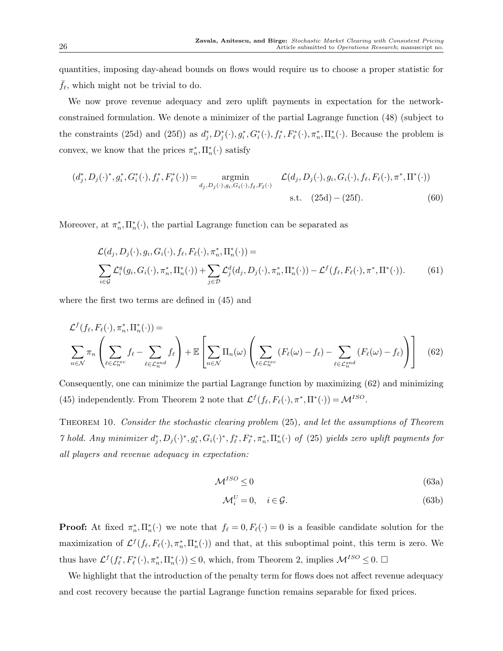quantities, imposing day-ahead bounds on flows would require us to choose a proper statistic for  $f_{\ell}$ , which might not be trivial to do.

We now prove revenue adequacy and zero uplift payments in expectation for the networkconstrained formulation. We denote a minimizer of the partial Lagrange function (48) (subject to the constraints (25d) and (25f)) as  $d_j^*, D_j^*(\cdot), g_i^*, G_i^*(\cdot), f_\ell^*, F_\ell^*(\cdot), \pi_n^*, \Pi_n^*(\cdot)$ . Because the problem is convex, we know that the prices  $\pi_n^*, \Pi_n^*(\cdot)$  satisfy

$$
(d_j^*, D_j(\cdot)^*, g_i^*, G_i^*(\cdot), f_\ell^*, F_\ell^*(\cdot)) = \underset{d_j, D_j(\cdot), g_i, G_i(\cdot), f_\ell, F_\ell(\cdot)}{\text{argmin}} \mathcal{L}(d_j, D_j(\cdot), g_i, G_i(\cdot), f_\ell, F_\ell(\cdot), \pi^*, \Pi^*(\cdot))
$$
  
s.t. (25d) – (25f). (60)

Moreover, at  $\pi_n^*$ ,  $\Pi_n^*(\cdot)$ , the partial Lagrange function can be separated as

$$
\mathcal{L}(d_j, D_j(\cdot), g_i, G_i(\cdot), f_\ell, F_\ell(\cdot), \pi_n^*, \Pi_n^*(\cdot)) =
$$
\n
$$
\sum_{i \in \mathcal{G}} \mathcal{L}_i^g(g_i, G_i(\cdot), \pi_n^*, \Pi_n^*(\cdot)) + \sum_{j \in \mathcal{D}} \mathcal{L}_j^d(d_j, D_j(\cdot), \pi_n^*, \Pi_n^*(\cdot)) - \mathcal{L}^f(f_\ell, F_\ell(\cdot), \pi^*, \Pi^*(\cdot)).
$$
\n(61)

where the first two terms are defined in (45) and

$$
\mathcal{L}^f(f_\ell, F_\ell(\cdot), \pi_n^*, \Pi_n^*(\cdot)) = \sum_{\ell \in \mathcal{L}_n^{rec}} f_\ell - \sum_{\ell \in \mathcal{L}_n^{snd}} f_\ell \left( \sum_{\ell \in \mathcal{L}_n^{rec}} \Pi_n(\omega) \left( \sum_{\ell \in \mathcal{L}_n^{rec}} (F_\ell(\omega) - f_\ell) - \sum_{\ell \in \mathcal{L}_n^{snd}} (F_\ell(\omega) - f_\ell) \right) \right) \tag{62}
$$

Consequently, one can minimize the partial Lagrange function by maximizing (62) and minimizing (45) independently. From Theorem 2 note that  $\mathcal{L}^f(f_\ell, F_\ell(\cdot), \pi^*, \Pi^*(\cdot)) = \mathcal{M}^{ISO}$ .

Theorem 10. Consider the stochastic clearing problem (25), and let the assumptions of Theorem *7* hold. Any minimizer  $d_j^*, D_j(\cdot)^*, g_i^*, G_i(\cdot)^*, f_\ell^*, F_\ell^*, \pi_n^*, \Pi_n^*(\cdot)$  of (25) yields zero uplift payments for all players and revenue adequacy in expectation:

$$
\mathcal{M}^{ISO} \le 0\tag{63a}
$$

$$
\mathcal{M}_i^U = 0, \quad i \in \mathcal{G}.\tag{63b}
$$

**Proof:** At fixed  $\pi_n^*$ ,  $\Pi_n^*(\cdot)$  we note that  $f_\ell = 0$ ,  $F_\ell(\cdot) = 0$  is a feasible candidate solution for the maximization of  $\mathcal{L}^f(f_\ell, F_\ell(\cdot), \pi_n^*, \Pi_n^*(\cdot))$  and that, at this suboptimal point, this term is zero. We thus have  $\mathcal{L}^f(f_\ell^*, F_\ell^*(\cdot), \pi_n^*, \Pi_n^*(\cdot)) \leq 0$ , which, from Theorem 2, implies  $\mathcal{M}^{ISO} \leq 0$ .  $\Box$ 

We highlight that the introduction of the penalty term for flows does not affect revenue adequacy and cost recovery because the partial Lagrange function remains separable for fixed prices.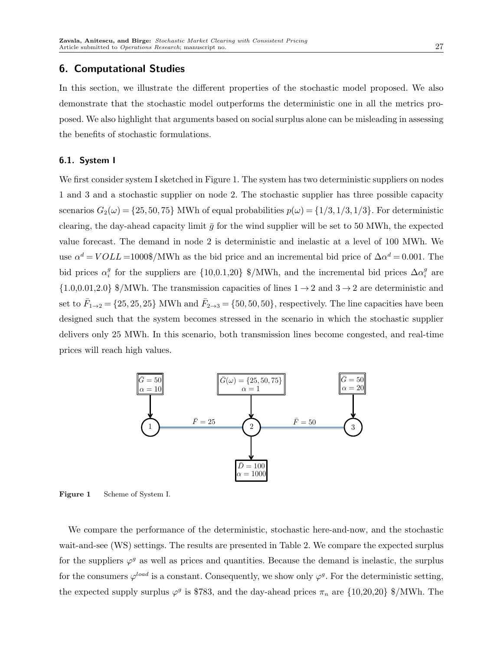# 6. Computational Studies

In this section, we illustrate the different properties of the stochastic model proposed. We also demonstrate that the stochastic model outperforms the deterministic one in all the metrics proposed. We also highlight that arguments based on social surplus alone can be misleading in assessing the benefits of stochastic formulations.

## 6.1. System I

We first consider system I sketched in Figure 1. The system has two deterministic suppliers on nodes 1 and 3 and a stochastic supplier on node 2. The stochastic supplier has three possible capacity scenarios  $G_2(\omega) = \{25, 50, 75\}$  MWh of equal probabilities  $p(\omega) = \{1/3, 1/3, 1/3\}$ . For deterministic clearing, the day-ahead capacity limit  $\bar{g}$  for the wind supplier will be set to 50 MWh, the expected value forecast. The demand in node 2 is deterministic and inelastic at a level of 100 MWh. We use  $\alpha^d = VOLL = 1000\%/MWh$  as the bid price and an incremental bid price of  $\Delta \alpha^d = 0.001$ . The bid prices  $\alpha_i^g$  for the suppliers are  $\{10,0.1,20\}$  \$/MWh, and the incremental bid prices  $\Delta \alpha_i^g$  are {1.0,0.01,2.0} \$/MWh. The transmission capacities of lines  $1 \rightarrow 2$  and  $3 \rightarrow 2$  are deterministic and set to  $\bar{F}_{1\to 2} = \{25, 25, 25\}$  MWh and  $\bar{F}_{2\to 3} = \{50, 50, 50\}$ , respectively. The line capacities have been designed such that the system becomes stressed in the scenario in which the stochastic supplier delivers only 25 MWh. In this scenario, both transmission lines become congested, and real-time prices will reach high values.



Figure 1 Scheme of System I.

We compare the performance of the deterministic, stochastic here-and-now, and the stochastic wait-and-see (WS) settings. The results are presented in Table 2. We compare the expected surplus for the suppliers  $\varphi^g$  as well as prices and quantities. Because the demand is inelastic, the surplus for the consumers  $\varphi^{load}$  is a constant. Consequently, we show only  $\varphi^g$ . For the deterministic setting, the expected supply surplus  $\varphi^g$  is \$783, and the day-ahead prices  $\pi_n$  are  $\{10,20,20\}$  \$/MWh. The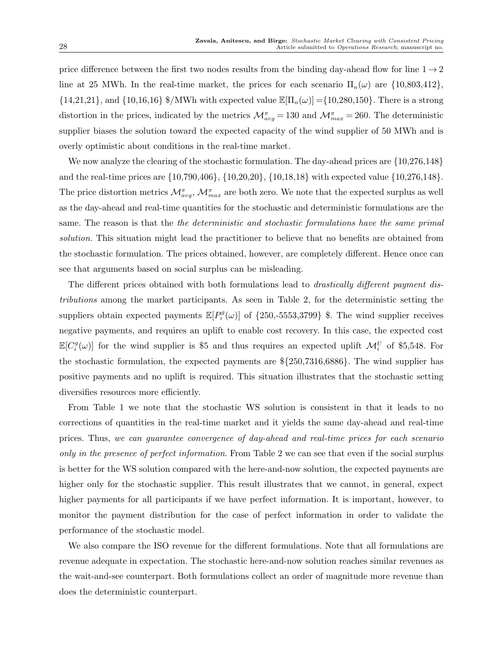price difference between the first two nodes results from the binding day-ahead flow for line  $1 \rightarrow 2$ line at 25 MWh. In the real-time market, the prices for each scenario  $\Pi_n(\omega)$  are  $\{10,803,412\}$ ,  $\{14,21,21\}$ , and  $\{10,16,16\}$  \$/MWh with expected value  $\mathbb{E}[\Pi_n(\omega)] = \{10,280,150\}$ . There is a strong distortion in the prices, indicated by the metrics  $\mathcal{M}_{avg}^{\pi} = 130$  and  $\mathcal{M}_{max}^{\pi} = 260$ . The deterministic supplier biases the solution toward the expected capacity of the wind supplier of 50 MWh and is overly optimistic about conditions in the real-time market.

We now analyze the clearing of the stochastic formulation. The day-ahead prices are  $\{10,276,148\}$ and the real-time prices are {10,790,406}, {10,20,20}, {10,18,18} with expected value {10,276,148}. The price distortion metrics  $\mathcal{M}_{avg}^{\pi}$ ,  $\mathcal{M}_{max}^{\pi}$  are both zero. We note that the expected surplus as well as the day-ahead and real-time quantities for the stochastic and deterministic formulations are the same. The reason is that the *the deterministic and stochastic formulations have the same primal* solution. This situation might lead the practitioner to believe that no benefits are obtained from the stochastic formulation. The prices obtained, however, are completely different. Hence once can see that arguments based on social surplus can be misleading.

The different prices obtained with both formulations lead to *drastically different payment dis*tributions among the market participants. As seen in Table 2, for the deterministic setting the suppliers obtain expected payments  $\mathbb{E}[P_i^g(\omega)]$  of  $\{250, -5553, 3799\}$  \$. The wind supplier receives negative payments, and requires an uplift to enable cost recovery. In this case, the expected cost  $\mathbb{E}[C_i^g(\omega)]$  for the wind supplier is \$5 and thus requires an expected uplift  $\mathcal{M}_i^U$  of \$5,548. For the stochastic formulation, the expected payments are \${250,7316,6886}. The wind supplier has positive payments and no uplift is required. This situation illustrates that the stochastic setting diversifies resources more efficiently.

From Table 1 we note that the stochastic WS solution is consistent in that it leads to no corrections of quantities in the real-time market and it yields the same day-ahead and real-time prices. Thus, we can guarantee convergence of day-ahead and real-time prices for each scenario only in the presence of perfect information. From Table 2 we can see that even if the social surplus is better for the WS solution compared with the here-and-now solution, the expected payments are higher only for the stochastic supplier. This result illustrates that we cannot, in general, expect higher payments for all participants if we have perfect information. It is important, however, to monitor the payment distribution for the case of perfect information in order to validate the performance of the stochastic model.

We also compare the ISO revenue for the different formulations. Note that all formulations are revenue adequate in expectation. The stochastic here-and-now solution reaches similar revenues as the wait-and-see counterpart. Both formulations collect an order of magnitude more revenue than does the deterministic counterpart.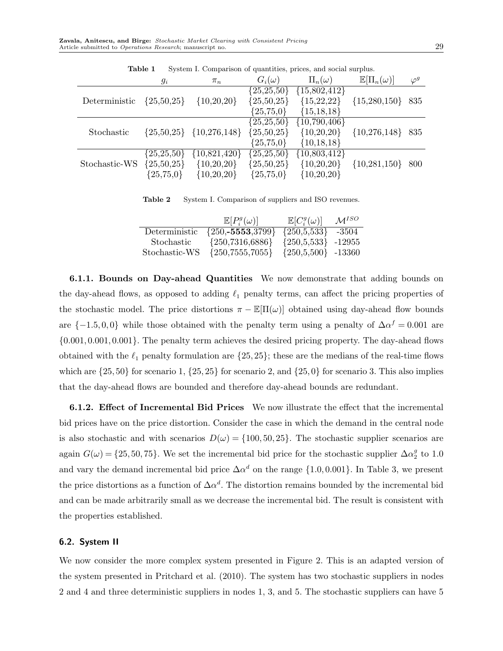|               | $g_i$        | $\pi_n$                     | $G_i(\omega)$             | $\Pi_n(\omega)$  | $\mathbb{E}[\Pi_n(\omega)]$ | $\varphi^g$ |
|---------------|--------------|-----------------------------|---------------------------|------------------|-----------------------------|-------------|
|               |              |                             | $\{25,2\overline{5,50\}}$ | $\{15,802,412\}$ |                             |             |
| Deterministic | ${25,50,25}$ | ${10,20,20}$                | ${25,50,25}$              | ${15,22,22}$     | ${15,280,150}$              | 835         |
|               |              |                             | ${25,75,0}$               | ${15,18,18}$     |                             |             |
|               |              |                             | $\{25,25,50\}$            | $\{10,790,406\}$ |                             |             |
| Stochastic    |              | ${25,50,25}$ ${10,276,148}$ | ${25,50,25}$              | ${10,20,20}$     | ${10,276,148}$              | 835         |
|               |              |                             | ${25,75,0}$               | ${10,18,18}$     |                             |             |
|               | ${25,25,50}$ | ${10,821,420}$              | $\{25,25,50\}$            | $\{10,803,412\}$ |                             |             |
| Stochastic-WS | ${25,50,25}$ | ${10,20,20}$                | ${25,50,25}$              | ${10,20,20}$     | ${10,281,150}$              | 800         |
|               | ${25,75,0}$  | ${10,20,20}$                | ${25,75,0}$               | ${10,20,20}$     |                             |             |

Table 1 System I. Comparison of quantities, prices, and social surplus.

Table 2 System I. Comparison of suppliers and ISO revenues.

|               | $\mathbb{E}[P_i^g(\omega)]$ | $\mathbb{E}[C_i^g(\omega)]$ | $\mathcal{M}^{ISO}$ |
|---------------|-----------------------------|-----------------------------|---------------------|
| Deterministic | ${250, -5553, 3799}$        | ${250,5,533}$               | -3504               |
| Stochastic    | ${250,7316,6886}$           | ${250,5,533}$               | -12955              |
| Stochastic-WS | ${250,7555,7055}$           | ${250,5,500}$ -13360        |                     |

6.1.1. Bounds on Day-ahead Quantities We now demonstrate that adding bounds on the day-ahead flows, as opposed to adding  $\ell_1$  penalty terms, can affect the pricing properties of the stochastic model. The price distortions  $\pi - \mathbb{E}[\Pi(\omega)]$  obtained using day-ahead flow bounds are  $\{-1.5, 0.0\}$  while those obtained with the penalty term using a penalty of  $\Delta \alpha^f = 0.001$  are {0.001, 0.001, 0.001}. The penalty term achieves the desired pricing property. The day-ahead flows obtained with the  $\ell_1$  penalty formulation are  $\{25, 25\}$ ; these are the medians of the real-time flows which are  $\{25, 50\}$  for scenario 1,  $\{25, 25\}$  for scenario 2, and  $\{25, 0\}$  for scenario 3. This also implies that the day-ahead flows are bounded and therefore day-ahead bounds are redundant.

6.1.2. Effect of Incremental Bid Prices We now illustrate the effect that the incremental bid prices have on the price distortion. Consider the case in which the demand in the central node is also stochastic and with scenarios  $D(\omega) = \{100, 50, 25\}$ . The stochastic supplier scenarios are again  $G(\omega) = \{25, 50, 75\}$ . We set the incremental bid price for the stochastic supplier  $\Delta \alpha_2^g$  to 1.0 and vary the demand incremental bid price  $\Delta \alpha^d$  on the range  $\{1.0, 0.001\}$ . In Table 3, we present the price distortions as a function of  $\Delta \alpha^d$ . The distortion remains bounded by the incremental bid and can be made arbitrarily small as we decrease the incremental bid. The result is consistent with the properties established.

## 6.2. System II

We now consider the more complex system presented in Figure 2. This is an adapted version of the system presented in Pritchard et al. (2010). The system has two stochastic suppliers in nodes 2 and 4 and three deterministic suppliers in nodes 1, 3, and 5. The stochastic suppliers can have 5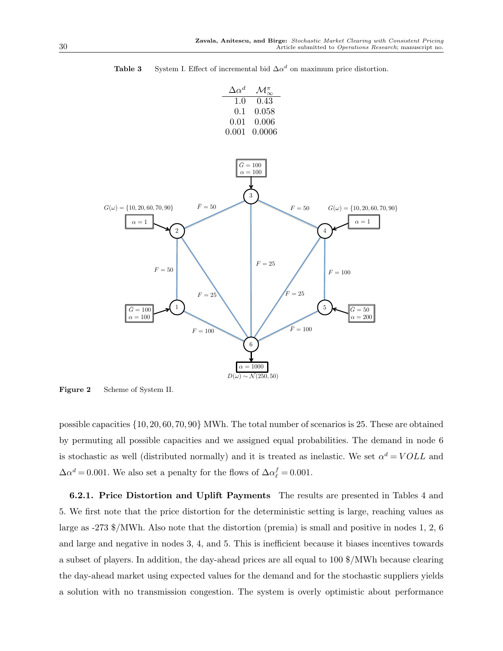

**Table 3** System I. Effect of incremental bid  $\Delta \alpha^d$  on maximum price distortion.

Figure 2 Scheme of System II.

possible capacities {10, 20, 60, 70, 90} MWh. The total number of scenarios is 25. These are obtained by permuting all possible capacities and we assigned equal probabilities. The demand in node 6 is stochastic as well (distributed normally) and it is treated as inelastic. We set  $\alpha^d = VOLL$  and  $\Delta \alpha^d = 0.001$ . We also set a penalty for the flows of  $\Delta \alpha_\ell^f = 0.001$ .

6.2.1. Price Distortion and Uplift Payments The results are presented in Tables 4 and 5. We first note that the price distortion for the deterministic setting is large, reaching values as large as -273 \$/MWh. Also note that the distortion (premia) is small and positive in nodes 1, 2, 6 and large and negative in nodes 3, 4, and 5. This is inefficient because it biases incentives towards a subset of players. In addition, the day-ahead prices are all equal to 100 \$/MWh because clearing the day-ahead market using expected values for the demand and for the stochastic suppliers yields a solution with no transmission congestion. The system is overly optimistic about performance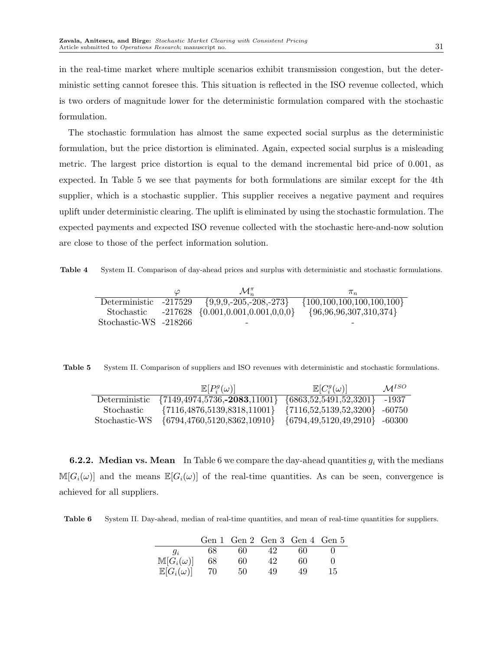in the real-time market where multiple scenarios exhibit transmission congestion, but the deterministic setting cannot foresee this. This situation is reflected in the ISO revenue collected, which is two orders of magnitude lower for the deterministic formulation compared with the stochastic formulation.

The stochastic formulation has almost the same expected social surplus as the deterministic formulation, but the price distortion is eliminated. Again, expected social surplus is a misleading metric. The largest price distortion is equal to the demand incremental bid price of 0.001, as expected. In Table 5 we see that payments for both formulations are similar except for the 4th supplier, which is a stochastic supplier. This supplier receives a negative payment and requires uplift under deterministic clearing. The uplift is eliminated by using the stochastic formulation. The expected payments and expected ISO revenue collected with the stochastic here-and-now solution are close to those of the perfect information solution.

Table 4 System II. Comparison of day-ahead prices and surplus with deterministic and stochastic formulations.

|                       | ୰ | $\mathcal{M}^{\pi}_{\infty}$               | $\pi_n$                            |
|-----------------------|---|--------------------------------------------|------------------------------------|
| Deterministic -217529 |   | $\{9,9,9,-205,-208,-273\}$                 | $\{100, 100, 100, 100, 100, 100\}$ |
| Stochastic            |   | $-217628 \{0.001, 0.001, 0.001, 0.00, 0\}$ | ${96,96,96,307,310,374}$           |
| Stochastic-WS -218266 |   |                                            |                                    |

Table 5 System II. Comparison of suppliers and ISO revenues with deterministic and stochastic formulations.

|               | $\mathbb{E}[P_i^g(\omega)]$                                       | $\mathbb{E}[C_i^g(\omega)]$           | $\mathcal{M}^{ISO}$ |
|---------------|-------------------------------------------------------------------|---------------------------------------|---------------------|
|               | Deterministic {7149,4974,5736,-2083,11001} {6863,52,5491,52,3201} |                                       | -1937               |
| Stochastic    | $\{7116, 4876, 5139, 8318, 11001\}$                               | $\{7116, 52, 5139, 52, 3200\}$ -60750 |                     |
| Stochastic-WS | $\{6794, 4760, 5120, 8362, 10910\}$                               | $\{6794, 49, 5120, 49, 2910\}$ -60300 |                     |

**6.2.2.** Median vs. Mean In Table 6 we compare the day-ahead quantities  $g_i$  with the medians  $\mathbb{M}[G_i(\omega)]$  and the means  $\mathbb{E}[G_i(\omega)]$  of the real-time quantities. As can be seen, convergence is achieved for all suppliers.

Table 6 System II. Day-ahead, median of real-time quantities, and mean of real-time quantities for suppliers.

|                           |    |    |     | Gen 1 Gen 2 Gen 3 Gen 4 Gen 5 |    |
|---------------------------|----|----|-----|-------------------------------|----|
| $q_i$                     | 68 | 60 | 42. | 60                            |    |
| $\mathbb{M}[G_i(\omega)]$ | 68 | 60 | 42  | 60                            |    |
| $\mathbb{E}[G_i(\omega)]$ | 70 | 50 | 49  | 49                            | 15 |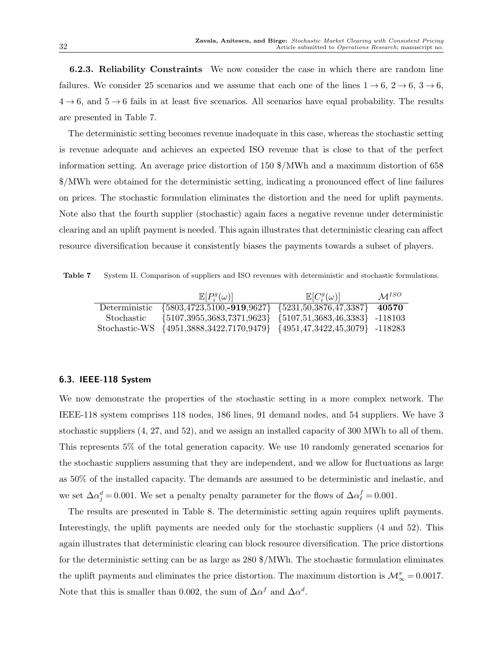6.2.3. Reliability Constraints We now consider the case in which there are random line failures. We consider 25 scenarios and we assume that each one of the lines  $1 \rightarrow 6, 2 \rightarrow 6, 3 \rightarrow 6$ ,  $4 \rightarrow 6$ , and  $5 \rightarrow 6$  fails in at least five scenarios. All scenarios have equal probability. The results are presented in Table 7.

The deterministic setting becomes revenue inadequate in this case, whereas the stochastic setting is revenue adequate and achieves an expected ISO revenue that is close to that of the perfect information setting. An average price distortion of 150 \$/MWh and a maximum distortion of 658 \$/MWh were obtained for the deterministic setting, indicating a pronounced effect of line failures on prices. The stochastic formulation eliminates the distortion and the need for uplift payments. Note also that the fourth supplier (stochastic) again faces a negative revenue under deterministic clearing and an uplift payment is needed. This again illustrates that deterministic clearing can affect resource diversification because it consistently biases the payments towards a subset of players.

Table 7 System II. Comparison of suppliers and ISO revenues with deterministic and stochastic formulations.

|            | $\mathbb{E}[P_i^g(\omega)]$                                             | $\mathbb{E}[C_i^g(\omega)]$ | $M^{ISO}$ |
|------------|-------------------------------------------------------------------------|-----------------------------|-----------|
|            | Deterministic {5803,4723,5100,-919,9627} {5231,50,3876,47,3387}         |                             | 40570     |
| Stochastic | $\{5107,3955,3683,7371,9623\}$ $\{5107,51,3683,46,3383\}$ -118103       |                             |           |
|            | Stochastic-WS {4951,3888,3422,7170,9479} {4951,47,3422,45,3079} -118283 |                             |           |

## 6.3. IEEE-118 System

We now demonstrate the properties of the stochastic setting in a more complex network. The IEEE-118 system comprises 118 nodes, 186 lines, 91 demand nodes, and 54 suppliers. We have 3 stochastic suppliers  $(4, 27, \text{ and } 52)$ , and we assign an installed capacity of 300 MWh to all of them. This represents 5% of the total generation capacity. We use 10 randomly generated scenarios for the stochastic suppliers assuming that they are independent, and we allow for fluctuations as large as 50% of the installed capacity. The demands are assumed to be deterministic and inelastic, and we set  $\Delta \alpha_j^d = 0.001$ . We set a penalty penalty parameter for the flows of  $\Delta \alpha_\ell^f = 0.001$ .

The results are presented in Table 8. The deterministic setting again requires uplift payments. Interestingly, the uplift payments are needed only for the stochastic suppliers (4 and 52). This again illustrates that deterministic clearing can block resource diversification. The price distortions for the deterministic setting can be as large as 280 \$/MWh. The stochastic formulation eliminates the uplift payments and eliminates the price distortion. The maximum distortion is  $\mathcal{M}_{\infty}^{\pi} = 0.0017$ . Note that this is smaller than 0.002, the sum of  $\Delta \alpha^f$  and  $\Delta \alpha^d$ .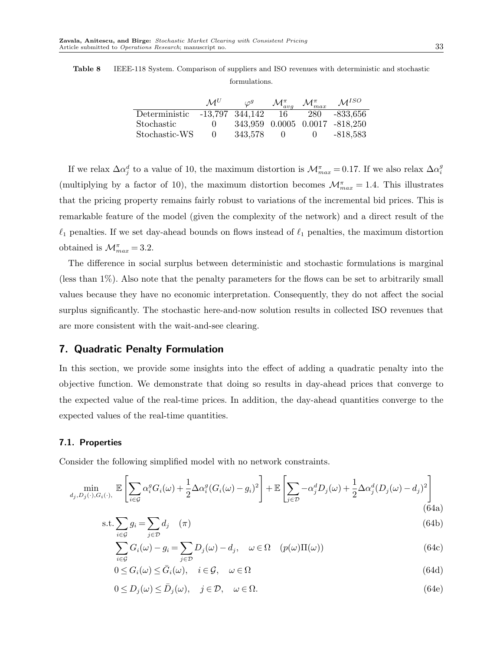| <b>Table 8</b> IEEE-118 System. Comparison of suppliers and ISO revenues with deterministic and stochastic |
|------------------------------------------------------------------------------------------------------------|
| formulations.                                                                                              |

|                               | $\mathcal{M}^U$ | $\varphi^g$ | $\mathcal{M}_{avg}^{\pi}$ | $\mathcal{M}^{\pi}_{max}$ | $M^{ISO}$                      |
|-------------------------------|-----------------|-------------|---------------------------|---------------------------|--------------------------------|
| Deterministic -13.797 344.142 |                 |             | - 16                      | 280                       | $-833,656$                     |
| Stochastic                    | O               |             |                           |                           | 343,959 0.0005 0.0017 -818,250 |
| $Stochastic-WS$               | $\cup$          | 343.578     | $\mathbf{U}$              |                           | -818,583                       |

If we relax  $\Delta \alpha_j^d$  to a value of 10, the maximum distortion is  $\mathcal{M}_{max}^{\pi} = 0.17$ . If we also relax  $\Delta \alpha_i^g$ (multiplying by a factor of 10), the maximum distortion becomes  $\mathcal{M}_{max}^{\pi} = 1.4$ . This illustrates that the pricing property remains fairly robust to variations of the incremental bid prices. This is remarkable feature of the model (given the complexity of the network) and a direct result of the  $\ell_1$  penalties. If we set day-ahead bounds on flows instead of  $\ell_1$  penalties, the maximum distortion obtained is  $\mathcal{M}_{max}^{\pi} = 3.2$ .

The difference in social surplus between deterministic and stochastic formulations is marginal (less than 1%). Also note that the penalty parameters for the flows can be set to arbitrarily small values because they have no economic interpretation. Consequently, they do not affect the social surplus significantly. The stochastic here-and-now solution results in collected ISO revenues that are more consistent with the wait-and-see clearing.

# 7. Quadratic Penalty Formulation

In this section, we provide some insights into the effect of adding a quadratic penalty into the objective function. We demonstrate that doing so results in day-ahead prices that converge to the expected value of the real-time prices. In addition, the day-ahead quantities converge to the expected values of the real-time quantities.

## 7.1. Properties

Consider the following simplified model with no network constraints.

$$
\min_{d_j, D_j(\cdot), G_i(\cdot),} \mathbb{E}\left[\sum_{i \in \mathcal{G}} \alpha_i^g G_i(\omega) + \frac{1}{2} \Delta \alpha_i^g (G_i(\omega) - g_i)^2\right] + \mathbb{E}\left[\sum_{j \in \mathcal{D}} -\alpha_j^d D_j(\omega) + \frac{1}{2} \Delta \alpha_j^d (D_j(\omega) - d_j)^2\right]
$$
(64a)

$$
s.t. \sum_{i \in \mathcal{G}} g_i = \sum_{j \in \mathcal{D}} d_j \quad (\pi) \tag{64b}
$$

$$
\sum_{i \in \mathcal{G}} G_i(\omega) - g_i = \sum_{j \in \mathcal{D}} D_j(\omega) - d_j, \quad \omega \in \Omega \quad (p(\omega)\Pi(\omega)) \tag{64c}
$$

$$
0 \le G_i(\omega) \le \bar{G}_i(\omega), \quad i \in \mathcal{G}, \quad \omega \in \Omega
$$
\n(64d)

$$
0 \le D_j(\omega) \le \bar{D}_j(\omega), \quad j \in \mathcal{D}, \quad \omega \in \Omega.
$$
\n(64e)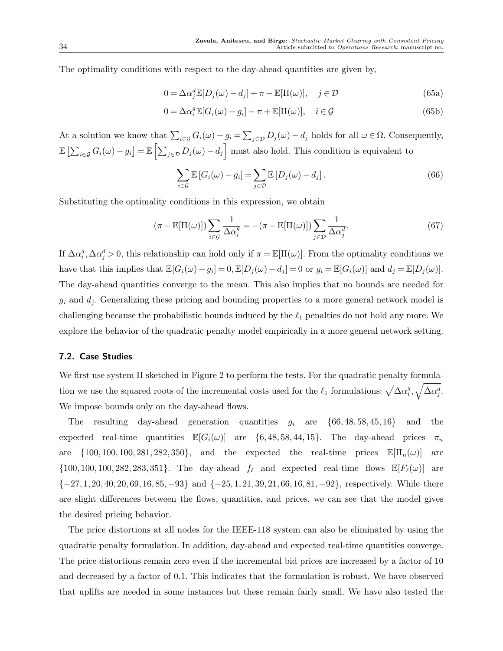The optimality conditions with respect to the day-ahead quantities are given by,

$$
0 = \Delta \alpha_j^d \mathbb{E}[D_j(\omega) - d_j] + \pi - \mathbb{E}[\Pi(\omega)], \quad j \in \mathcal{D}
$$
\n(65a)

$$
0 = \Delta \alpha_i^g \mathbb{E}[G_i(\omega) - g_i] - \pi + \mathbb{E}[\Pi(\omega)], \quad i \in \mathcal{G}
$$
\n(65b)

At a solution we know that  $\sum_{i\in\mathcal{G}} G_i(\omega) - g_i = \sum_{j\in\mathcal{D}} D_j(\omega) - d_j$  holds for all  $\omega \in \Omega$ . Consequently,  $\mathbb{E}\left[\sum_{i\in\mathcal{G}}G_i(\omega)-g_i\right]=\mathbb{E}\left[\sum_{j\in\mathcal{D}}D_j(\omega)-d_j\right]$  must also hold. This condition is equivalent to

$$
\sum_{i \in \mathcal{G}} \mathbb{E}\left[G_i(\omega) - g_i\right] = \sum_{j \in \mathcal{D}} \mathbb{E}\left[D_j(\omega) - d_j\right].\tag{66}
$$

Substituting the optimality conditions in this expression, we obtain

$$
(\pi - \mathbb{E}[\Pi(\omega)]) \sum_{i \in \mathcal{G}} \frac{1}{\Delta \alpha_i^g} = -(\pi - \mathbb{E}[\Pi(\omega)]) \sum_{j \in \mathcal{D}} \frac{1}{\Delta \alpha_j^d}.
$$
 (67)

If  $\Delta \alpha_i^g$ ,  $\Delta \alpha_j^d > 0$ , this relationship can hold only if  $\pi = \mathbb{E}[\Pi(\omega)]$ . From the optimality conditions we have that this implies that  $\mathbb{E}[G_i(\omega) - g_i] = 0$ ,  $\mathbb{E}[D_j(\omega) - d_j] = 0$  or  $g_i = \mathbb{E}[G_i(\omega)]$  and  $d_j = \mathbb{E}[D_j(\omega)]$ . The day-ahead quantities converge to the mean. This also implies that no bounds are needed for  $g_i$  and  $d_j$ . Generalizing these pricing and bounding properties to a more general network model is challenging because the probabilistic bounds induced by the  $\ell_1$  penalties do not hold any more. We explore the behavior of the quadratic penalty model empirically in a more general network setting.

## 7.2. Case Studies

We first use system II sketched in Figure 2 to perform the tests. For the quadratic penalty formulation we use the squared roots of the incremental costs used for the  $\ell_1$  formulations:  $\sqrt{\Delta \alpha_i^g}$ ,  $\sqrt{\Delta \alpha_i^g}$ . We impose bounds only on the day-ahead flows.

The resulting day-ahead generation quantities  $g_i$  are  $\{66, 48, 58, 45, 16\}$  and the expected real-time quantities  $\mathbb{E}[G_i(\omega)]$  are  $\{6, 48, 58, 44, 15\}$ . The day-ahead prices  $\pi_n$ are  $\{100, 100, 100, 281, 282, 350\}$ , and the expected the real-time prices  $\mathbb{E}[\Pi_n(\omega)]$  are  $\{100, 100, 100, 282, 283, 351\}$ . The day-ahead  $f_{\ell}$  and expected real-time flows  $\mathbb{E}[F_{\ell}(\omega)]$  are  ${-27, 1, 20, 40, 20, 69, 16, 85, -93}$  and  ${-25, 1, 21, 39, 21, 66, 16, 81, -92}$ , respectively. While there are slight differences between the flows, quantities, and prices, we can see that the model gives the desired pricing behavior.

The price distortions at all nodes for the IEEE-118 system can also be eliminated by using the quadratic penalty formulation. In addition, day-ahead and expected real-time quantities converge. The price distortions remain zero even if the incremental bid prices are increased by a factor of 10 and decreased by a factor of 0.1. This indicates that the formulation is robust. We have observed that uplifts are needed in some instances but these remain fairly small. We have also tested the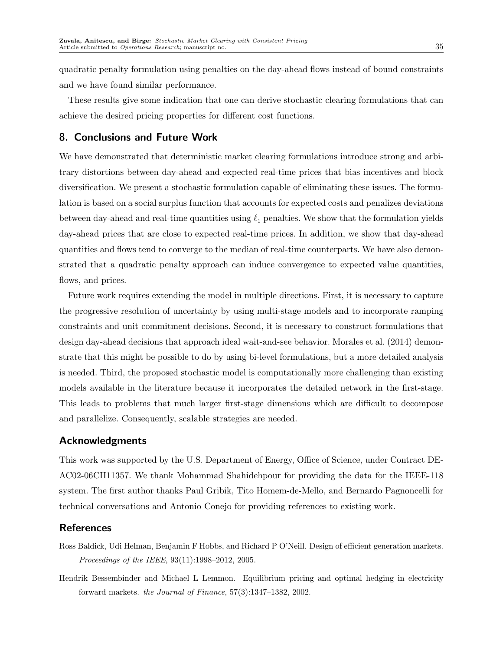quadratic penalty formulation using penalties on the day-ahead flows instead of bound constraints and we have found similar performance.

These results give some indication that one can derive stochastic clearing formulations that can achieve the desired pricing properties for different cost functions.

# 8. Conclusions and Future Work

We have demonstrated that deterministic market clearing formulations introduce strong and arbitrary distortions between day-ahead and expected real-time prices that bias incentives and block diversification. We present a stochastic formulation capable of eliminating these issues. The formulation is based on a social surplus function that accounts for expected costs and penalizes deviations between day-ahead and real-time quantities using  $\ell_1$  penalties. We show that the formulation yields day-ahead prices that are close to expected real-time prices. In addition, we show that day-ahead quantities and flows tend to converge to the median of real-time counterparts. We have also demonstrated that a quadratic penalty approach can induce convergence to expected value quantities, flows, and prices.

Future work requires extending the model in multiple directions. First, it is necessary to capture the progressive resolution of uncertainty by using multi-stage models and to incorporate ramping constraints and unit commitment decisions. Second, it is necessary to construct formulations that design day-ahead decisions that approach ideal wait-and-see behavior. Morales et al. (2014) demonstrate that this might be possible to do by using bi-level formulations, but a more detailed analysis is needed. Third, the proposed stochastic model is computationally more challenging than existing models available in the literature because it incorporates the detailed network in the first-stage. This leads to problems that much larger first-stage dimensions which are difficult to decompose and parallelize. Consequently, scalable strategies are needed.

# Acknowledgments

This work was supported by the U.S. Department of Energy, Office of Science, under Contract DE-AC02-06CH11357. We thank Mohammad Shahidehpour for providing the data for the IEEE-118 system. The first author thanks Paul Gribik, Tito Homem-de-Mello, and Bernardo Pagnoncelli for technical conversations and Antonio Conejo for providing references to existing work.

# References

- Ross Baldick, Udi Helman, Benjamin F Hobbs, and Richard P O'Neill. Design of efficient generation markets. Proceedings of the IEEE, 93(11):1998–2012, 2005.
- Hendrik Bessembinder and Michael L Lemmon. Equilibrium pricing and optimal hedging in electricity forward markets. the Journal of Finance, 57(3):1347–1382, 2002.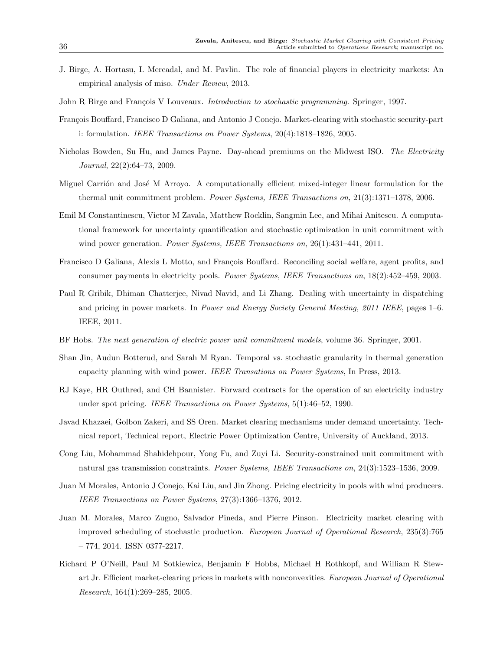- J. Birge, A. Hortasu, I. Mercadal, and M. Pavlin. The role of financial players in electricity markets: An empirical analysis of miso. Under Review, 2013.
- John R Birge and François V Louveaux. *Introduction to stochastic programming*. Springer, 1997.
- François Bouffard, Francisco D Galiana, and Antonio J Conejo. Market-clearing with stochastic security-part i: formulation. IEEE Transactions on Power Systems, 20(4):1818–1826, 2005.
- Nicholas Bowden, Su Hu, and James Payne. Day-ahead premiums on the Midwest ISO. The Electricity Journal, 22(2):64–73, 2009.
- Miguel Carrión and José M Arroyo. A computationally efficient mixed-integer linear formulation for the thermal unit commitment problem. Power Systems, IEEE Transactions on, 21(3):1371-1378, 2006.
- Emil M Constantinescu, Victor M Zavala, Matthew Rocklin, Sangmin Lee, and Mihai Anitescu. A computational framework for uncertainty quantification and stochastic optimization in unit commitment with wind power generation. Power Systems, IEEE Transactions on, 26(1):431-441, 2011.
- Francisco D Galiana, Alexis L Motto, and François Bouffard. Reconciling social welfare, agent profits, and consumer payments in electricity pools. Power Systems, IEEE Transactions on, 18(2):452–459, 2003.
- Paul R Gribik, Dhiman Chatterjee, Nivad Navid, and Li Zhang. Dealing with uncertainty in dispatching and pricing in power markets. In Power and Energy Society General Meeting, 2011 IEEE, pages 1–6. IEEE, 2011.
- BF Hobs. The next generation of electric power unit commitment models, volume 36. Springer, 2001.
- Shan Jin, Audun Botterud, and Sarah M Ryan. Temporal vs. stochastic granularity in thermal generation capacity planning with wind power. IEEE Transations on Power Systems, In Press, 2013.
- RJ Kaye, HR Outhred, and CH Bannister. Forward contracts for the operation of an electricity industry under spot pricing. IEEE Transactions on Power Systems, 5(1):46–52, 1990.
- Javad Khazaei, Golbon Zakeri, and SS Oren. Market clearing mechanisms under demand uncertainty. Technical report, Technical report, Electric Power Optimization Centre, University of Auckland, 2013.
- Cong Liu, Mohammad Shahidehpour, Yong Fu, and Zuyi Li. Security-constrained unit commitment with natural gas transmission constraints. Power Systems, IEEE Transactions on, 24(3):1523-1536, 2009.
- Juan M Morales, Antonio J Conejo, Kai Liu, and Jin Zhong. Pricing electricity in pools with wind producers. IEEE Transactions on Power Systems, 27(3):1366–1376, 2012.
- Juan M. Morales, Marco Zugno, Salvador Pineda, and Pierre Pinson. Electricity market clearing with improved scheduling of stochastic production. European Journal of Operational Research, 235(3):765  $-774, 2014.$  ISSN 0377-2217.
- Richard P O'Neill, Paul M Sotkiewicz, Benjamin F Hobbs, Michael H Rothkopf, and William R Stewart Jr. Efficient market-clearing prices in markets with nonconvexities. European Journal of Operational Research, 164(1):269–285, 2005.